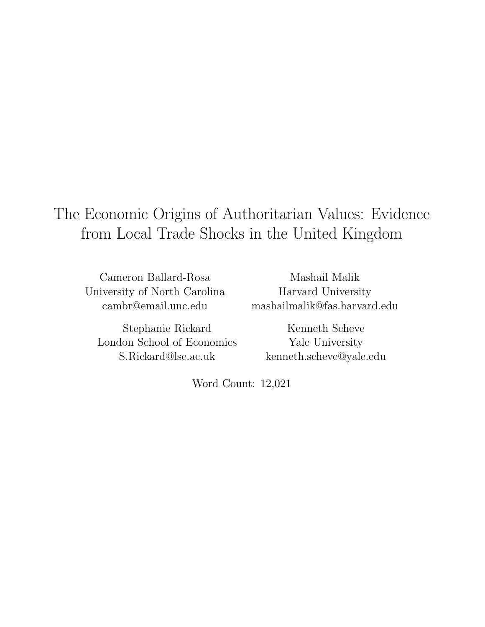# The Economic Origins of Authoritarian Values: Evidence from Local Trade Shocks in the United Kingdom

Cameron Ballard-Rosa University of North Carolina cambr@email.unc.edu

Stephanie Rickard London School of Economics S.Rickard@lse.ac.uk

Mashail Malik Harvard University mashailmalik@fas.harvard.edu

Kenneth Scheve Yale University kenneth.scheve@yale.edu

Word Count: 12,021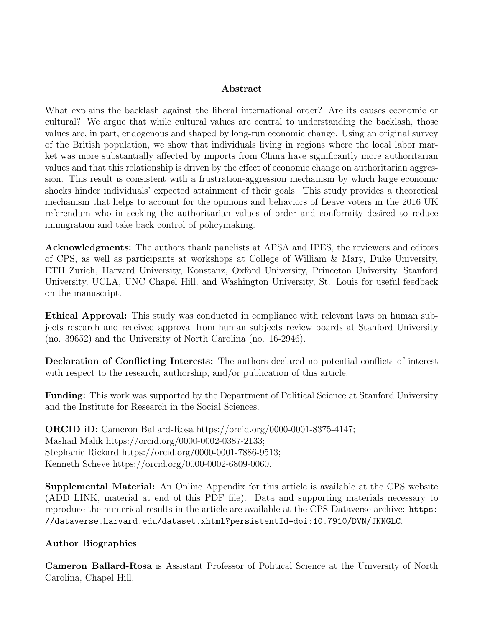#### Abstract

What explains the backlash against the liberal international order? Are its causes economic or cultural? We argue that while cultural values are central to understanding the backlash, those values are, in part, endogenous and shaped by long-run economic change. Using an original survey of the British population, we show that individuals living in regions where the local labor market was more substantially affected by imports from China have significantly more authoritarian values and that this relationship is driven by the effect of economic change on authoritarian aggression. This result is consistent with a frustration-aggression mechanism by which large economic shocks hinder individuals' expected attainment of their goals. This study provides a theoretical mechanism that helps to account for the opinions and behaviors of Leave voters in the 2016 UK referendum who in seeking the authoritarian values of order and conformity desired to reduce immigration and take back control of policymaking.

Acknowledgments: The authors thank panelists at APSA and IPES, the reviewers and editors of CPS, as well as participants at workshops at College of William & Mary, Duke University, ETH Zurich, Harvard University, Konstanz, Oxford University, Princeton University, Stanford University, UCLA, UNC Chapel Hill, and Washington University, St. Louis for useful feedback on the manuscript.

Ethical Approval: This study was conducted in compliance with relevant laws on human subjects research and received approval from human subjects review boards at Stanford University (no. 39652) and the University of North Carolina (no. 16-2946).

Declaration of Conflicting Interests: The authors declared no potential conflicts of interest with respect to the research, authorship, and/or publication of this article.

**Funding:** This work was supported by the Department of Political Science at Stanford University and the Institute for Research in the Social Sciences.

ORCID iD: Cameron Ballard-Rosa https://orcid.org/0000-0001-8375-4147; Mashail Malik https://orcid.org/0000-0002-0387-2133; Stephanie Rickard https://orcid.org/0000-0001-7886-9513; Kenneth Scheve https://orcid.org/0000-0002-6809-0060.

Supplemental Material: An Online Appendix for this article is available at the CPS website (ADD LINK, material at end of this PDF file). Data and supporting materials necessary to reproduce the numerical results in the article are available at the CPS Dataverse archive: https: //dataverse.harvard.edu/dataset.xhtml?persistentId=doi:10.7910/DVN/JNNGLC.

#### Author Biographies

Cameron Ballard-Rosa is Assistant Professor of Political Science at the University of North Carolina, Chapel Hill.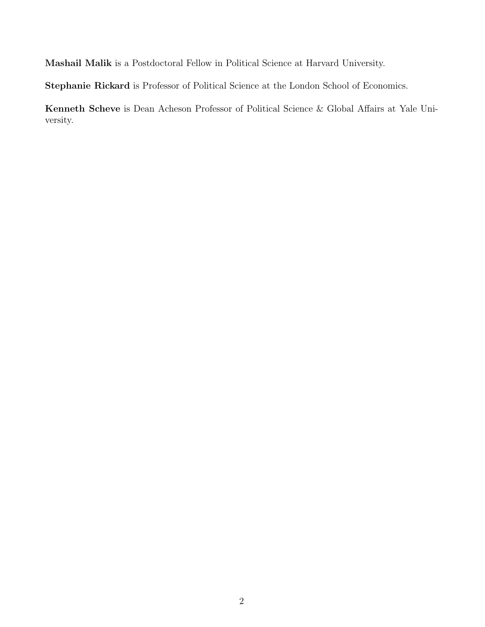Mashail Malik is a Postdoctoral Fellow in Political Science at Harvard University.

Stephanie Rickard is Professor of Political Science at the London School of Economics.

Kenneth Scheve is Dean Acheson Professor of Political Science & Global Affairs at Yale University.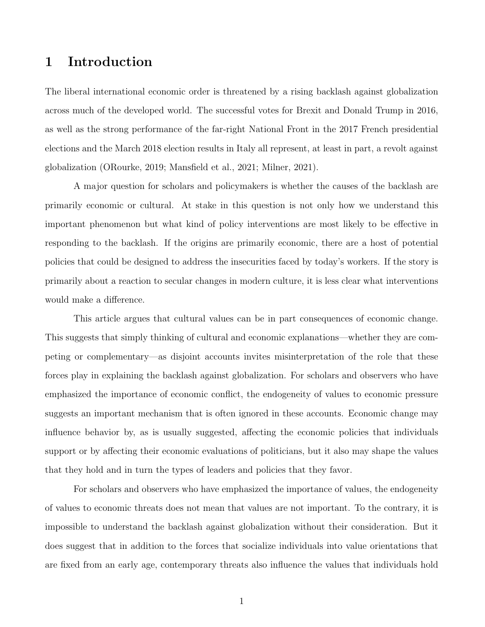### 1 Introduction

The liberal international economic order is threatened by a rising backlash against globalization across much of the developed world. The successful votes for Brexit and Donald Trump in 2016, as well as the strong performance of the far-right National Front in the 2017 French presidential elections and the March 2018 election results in Italy all represent, at least in part, a revolt against globalization (ORourke, 2019; Mansfield et al., 2021; Milner, 2021).

A major question for scholars and policymakers is whether the causes of the backlash are primarily economic or cultural. At stake in this question is not only how we understand this important phenomenon but what kind of policy interventions are most likely to be effective in responding to the backlash. If the origins are primarily economic, there are a host of potential policies that could be designed to address the insecurities faced by today's workers. If the story is primarily about a reaction to secular changes in modern culture, it is less clear what interventions would make a difference.

This article argues that cultural values can be in part consequences of economic change. This suggests that simply thinking of cultural and economic explanations—whether they are competing or complementary—as disjoint accounts invites misinterpretation of the role that these forces play in explaining the backlash against globalization. For scholars and observers who have emphasized the importance of economic conflict, the endogeneity of values to economic pressure suggests an important mechanism that is often ignored in these accounts. Economic change may influence behavior by, as is usually suggested, affecting the economic policies that individuals support or by affecting their economic evaluations of politicians, but it also may shape the values that they hold and in turn the types of leaders and policies that they favor.

For scholars and observers who have emphasized the importance of values, the endogeneity of values to economic threats does not mean that values are not important. To the contrary, it is impossible to understand the backlash against globalization without their consideration. But it does suggest that in addition to the forces that socialize individuals into value orientations that are fixed from an early age, contemporary threats also influence the values that individuals hold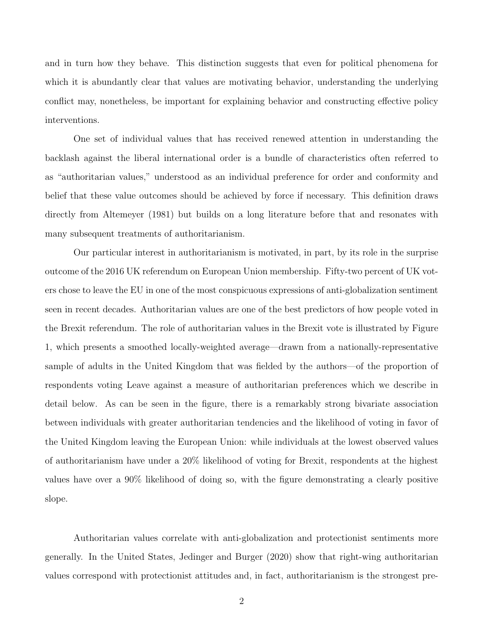and in turn how they behave. This distinction suggests that even for political phenomena for which it is abundantly clear that values are motivating behavior, understanding the underlying conflict may, nonetheless, be important for explaining behavior and constructing effective policy interventions.

One set of individual values that has received renewed attention in understanding the backlash against the liberal international order is a bundle of characteristics often referred to as "authoritarian values," understood as an individual preference for order and conformity and belief that these value outcomes should be achieved by force if necessary. This definition draws directly from Altemeyer (1981) but builds on a long literature before that and resonates with many subsequent treatments of authoritarianism.

Our particular interest in authoritarianism is motivated, in part, by its role in the surprise outcome of the 2016 UK referendum on European Union membership. Fifty-two percent of UK voters chose to leave the EU in one of the most conspicuous expressions of anti-globalization sentiment seen in recent decades. Authoritarian values are one of the best predictors of how people voted in the Brexit referendum. The role of authoritarian values in the Brexit vote is illustrated by Figure 1, which presents a smoothed locally-weighted average—drawn from a nationally-representative sample of adults in the United Kingdom that was fielded by the authors—of the proportion of respondents voting Leave against a measure of authoritarian preferences which we describe in detail below. As can be seen in the figure, there is a remarkably strong bivariate association between individuals with greater authoritarian tendencies and the likelihood of voting in favor of the United Kingdom leaving the European Union: while individuals at the lowest observed values of authoritarianism have under a 20% likelihood of voting for Brexit, respondents at the highest values have over a 90% likelihood of doing so, with the figure demonstrating a clearly positive slope.

Authoritarian values correlate with anti-globalization and protectionist sentiments more generally. In the United States, Jedinger and Burger (2020) show that right-wing authoritarian values correspond with protectionist attitudes and, in fact, authoritarianism is the strongest pre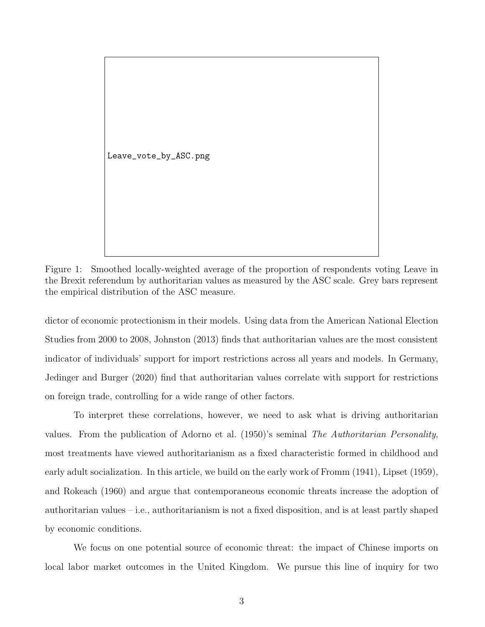Leave\_vote\_by\_ASC.png

Figure 1: Smoothed locally-weighted average of the proportion of respondents voting Leave in the Brexit referendum by authoritarian values as measured by the ASC scale. Grey bars represent the empirical distribution of the ASC measure.

dictor of economic protectionism in their models. Using data from the American National Election Studies from 2000 to 2008, Johnston (2013) finds that authoritarian values are the most consistent indicator of individuals' support for import restrictions across all years and models. In Germany, Jedinger and Burger (2020) find that authoritarian values correlate with support for restrictions on foreign trade, controlling for a wide range of other factors.

To interpret these correlations, however, we need to ask what is driving authoritarian values. From the publication of Adorno et al. (1950)'s seminal The Authoritarian Personality, most treatments have viewed authoritarianism as a fixed characteristic formed in childhood and early adult socialization. In this article, we build on the early work of Fromm (1941), Lipset (1959), and Rokeach (1960) and argue that contemporaneous economic threats increase the adoption of authoritarian values – i.e., authoritarianism is not a fixed disposition, and is at least partly shaped by economic conditions.

We focus on one potential source of economic threat: the impact of Chinese imports on local labor market outcomes in the United Kingdom. We pursue this line of inquiry for two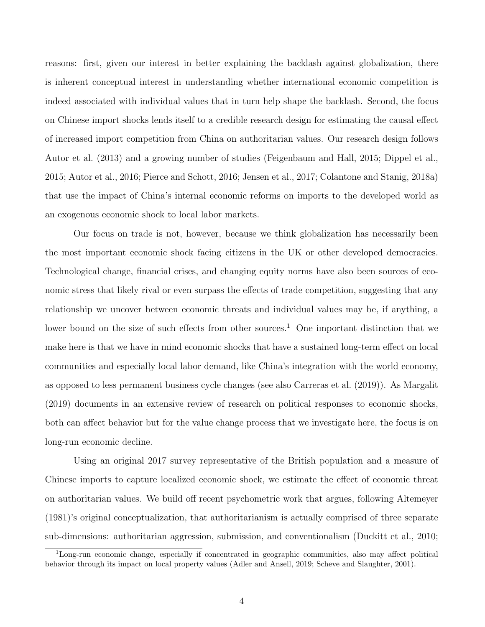reasons: first, given our interest in better explaining the backlash against globalization, there is inherent conceptual interest in understanding whether international economic competition is indeed associated with individual values that in turn help shape the backlash. Second, the focus on Chinese import shocks lends itself to a credible research design for estimating the causal effect of increased import competition from China on authoritarian values. Our research design follows Autor et al. (2013) and a growing number of studies (Feigenbaum and Hall, 2015; Dippel et al., 2015; Autor et al., 2016; Pierce and Schott, 2016; Jensen et al., 2017; Colantone and Stanig, 2018a) that use the impact of China's internal economic reforms on imports to the developed world as an exogenous economic shock to local labor markets.

Our focus on trade is not, however, because we think globalization has necessarily been the most important economic shock facing citizens in the UK or other developed democracies. Technological change, financial crises, and changing equity norms have also been sources of economic stress that likely rival or even surpass the effects of trade competition, suggesting that any relationship we uncover between economic threats and individual values may be, if anything, a lower bound on the size of such effects from other sources.<sup>1</sup> One important distinction that we make here is that we have in mind economic shocks that have a sustained long-term effect on local communities and especially local labor demand, like China's integration with the world economy, as opposed to less permanent business cycle changes (see also Carreras et al. (2019)). As Margalit (2019) documents in an extensive review of research on political responses to economic shocks, both can affect behavior but for the value change process that we investigate here, the focus is on long-run economic decline.

Using an original 2017 survey representative of the British population and a measure of Chinese imports to capture localized economic shock, we estimate the effect of economic threat on authoritarian values. We build off recent psychometric work that argues, following Altemeyer (1981)'s original conceptualization, that authoritarianism is actually comprised of three separate sub-dimensions: authoritarian aggression, submission, and conventionalism (Duckitt et al., 2010;

<sup>1</sup>Long-run economic change, especially if concentrated in geographic communities, also may affect political behavior through its impact on local property values (Adler and Ansell, 2019; Scheve and Slaughter, 2001).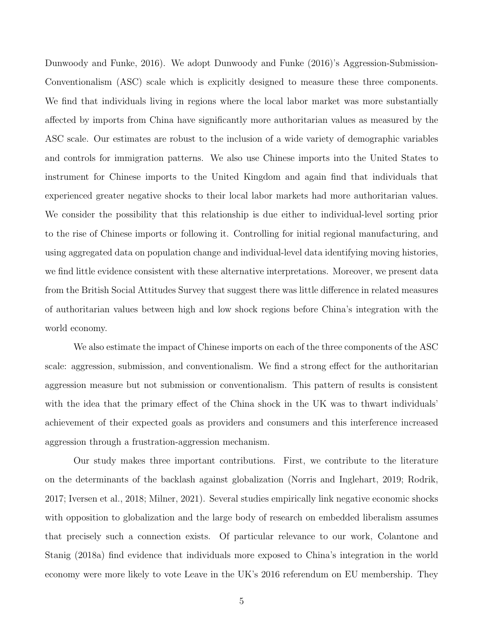Dunwoody and Funke, 2016). We adopt Dunwoody and Funke (2016)'s Aggression-Submission-Conventionalism (ASC) scale which is explicitly designed to measure these three components. We find that individuals living in regions where the local labor market was more substantially affected by imports from China have significantly more authoritarian values as measured by the ASC scale. Our estimates are robust to the inclusion of a wide variety of demographic variables and controls for immigration patterns. We also use Chinese imports into the United States to instrument for Chinese imports to the United Kingdom and again find that individuals that experienced greater negative shocks to their local labor markets had more authoritarian values. We consider the possibility that this relationship is due either to individual-level sorting prior to the rise of Chinese imports or following it. Controlling for initial regional manufacturing, and using aggregated data on population change and individual-level data identifying moving histories, we find little evidence consistent with these alternative interpretations. Moreover, we present data from the British Social Attitudes Survey that suggest there was little difference in related measures of authoritarian values between high and low shock regions before China's integration with the world economy.

We also estimate the impact of Chinese imports on each of the three components of the ASC scale: aggression, submission, and conventionalism. We find a strong effect for the authoritarian aggression measure but not submission or conventionalism. This pattern of results is consistent with the idea that the primary effect of the China shock in the UK was to thwart individuals' achievement of their expected goals as providers and consumers and this interference increased aggression through a frustration-aggression mechanism.

Our study makes three important contributions. First, we contribute to the literature on the determinants of the backlash against globalization (Norris and Inglehart, 2019; Rodrik, 2017; Iversen et al., 2018; Milner, 2021). Several studies empirically link negative economic shocks with opposition to globalization and the large body of research on embedded liberalism assumes that precisely such a connection exists. Of particular relevance to our work, Colantone and Stanig (2018a) find evidence that individuals more exposed to China's integration in the world economy were more likely to vote Leave in the UK's 2016 referendum on EU membership. They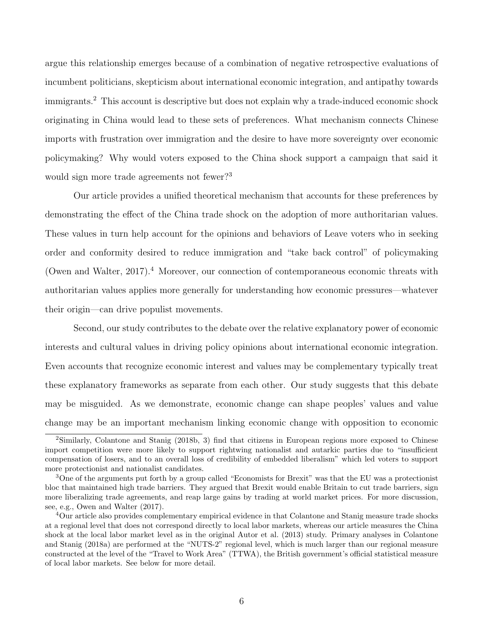argue this relationship emerges because of a combination of negative retrospective evaluations of incumbent politicians, skepticism about international economic integration, and antipathy towards immigrants.<sup>2</sup> This account is descriptive but does not explain why a trade-induced economic shock originating in China would lead to these sets of preferences. What mechanism connects Chinese imports with frustration over immigration and the desire to have more sovereignty over economic policymaking? Why would voters exposed to the China shock support a campaign that said it would sign more trade agreements not fewer?<sup>3</sup>

Our article provides a unified theoretical mechanism that accounts for these preferences by demonstrating the effect of the China trade shock on the adoption of more authoritarian values. These values in turn help account for the opinions and behaviors of Leave voters who in seeking order and conformity desired to reduce immigration and "take back control" of policymaking (Owen and Walter,  $2017$ ).<sup>4</sup> Moreover, our connection of contemporaneous economic threats with authoritarian values applies more generally for understanding how economic pressures—whatever their origin—can drive populist movements.

Second, our study contributes to the debate over the relative explanatory power of economic interests and cultural values in driving policy opinions about international economic integration. Even accounts that recognize economic interest and values may be complementary typically treat these explanatory frameworks as separate from each other. Our study suggests that this debate may be misguided. As we demonstrate, economic change can shape peoples' values and value change may be an important mechanism linking economic change with opposition to economic

<sup>&</sup>lt;sup>2</sup>Similarly, Colantone and Stanig (2018b, 3) find that citizens in European regions more exposed to Chinese import competition were more likely to support rightwing nationalist and autarkic parties due to "insufficient compensation of losers, and to an overall loss of credibility of embedded liberalism" which led voters to support more protectionist and nationalist candidates.

<sup>3</sup>One of the arguments put forth by a group called "Economists for Brexit" was that the EU was a protectionist bloc that maintained high trade barriers. They argued that Brexit would enable Britain to cut trade barriers, sign more liberalizing trade agreements, and reap large gains by trading at world market prices. For more discussion, see, e.g., Owen and Walter (2017).

<sup>4</sup>Our article also provides complementary empirical evidence in that Colantone and Stanig measure trade shocks at a regional level that does not correspond directly to local labor markets, whereas our article measures the China shock at the local labor market level as in the original Autor et al. (2013) study. Primary analyses in Colantone and Stanig (2018a) are performed at the "NUTS-2" regional level, which is much larger than our regional measure constructed at the level of the "Travel to Work Area" (TTWA), the British government's official statistical measure of local labor markets. See below for more detail.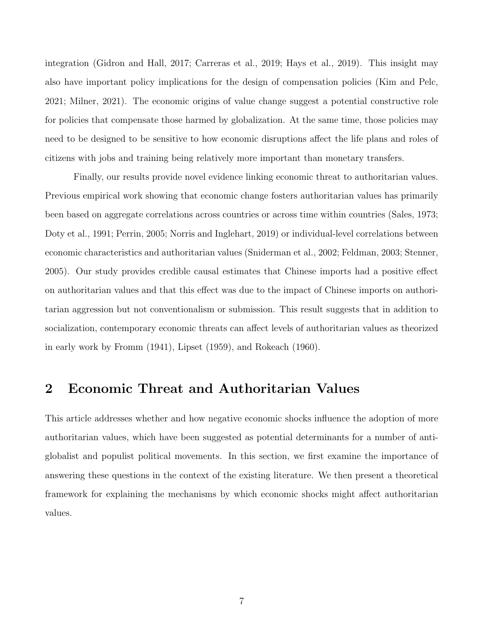integration (Gidron and Hall, 2017; Carreras et al., 2019; Hays et al., 2019). This insight may also have important policy implications for the design of compensation policies (Kim and Pelc, 2021; Milner, 2021). The economic origins of value change suggest a potential constructive role for policies that compensate those harmed by globalization. At the same time, those policies may need to be designed to be sensitive to how economic disruptions affect the life plans and roles of citizens with jobs and training being relatively more important than monetary transfers.

Finally, our results provide novel evidence linking economic threat to authoritarian values. Previous empirical work showing that economic change fosters authoritarian values has primarily been based on aggregate correlations across countries or across time within countries (Sales, 1973; Doty et al., 1991; Perrin, 2005; Norris and Inglehart, 2019) or individual-level correlations between economic characteristics and authoritarian values (Sniderman et al., 2002; Feldman, 2003; Stenner, 2005). Our study provides credible causal estimates that Chinese imports had a positive effect on authoritarian values and that this effect was due to the impact of Chinese imports on authoritarian aggression but not conventionalism or submission. This result suggests that in addition to socialization, contemporary economic threats can affect levels of authoritarian values as theorized in early work by Fromm (1941), Lipset (1959), and Rokeach (1960).

### 2 Economic Threat and Authoritarian Values

This article addresses whether and how negative economic shocks influence the adoption of more authoritarian values, which have been suggested as potential determinants for a number of antiglobalist and populist political movements. In this section, we first examine the importance of answering these questions in the context of the existing literature. We then present a theoretical framework for explaining the mechanisms by which economic shocks might affect authoritarian values.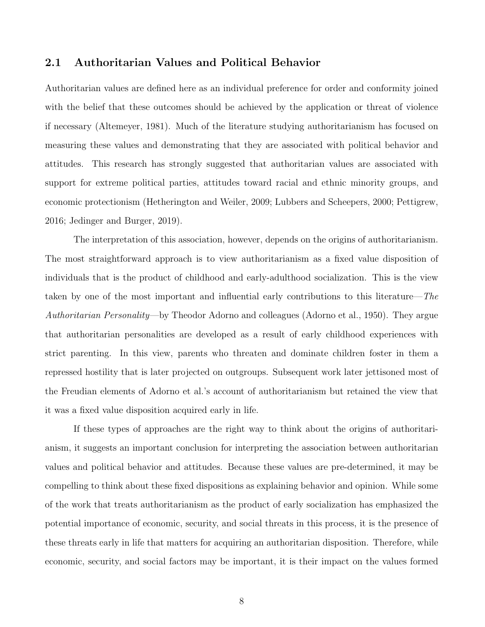#### 2.1 Authoritarian Values and Political Behavior

Authoritarian values are defined here as an individual preference for order and conformity joined with the belief that these outcomes should be achieved by the application or threat of violence if necessary (Altemeyer, 1981). Much of the literature studying authoritarianism has focused on measuring these values and demonstrating that they are associated with political behavior and attitudes. This research has strongly suggested that authoritarian values are associated with support for extreme political parties, attitudes toward racial and ethnic minority groups, and economic protectionism (Hetherington and Weiler, 2009; Lubbers and Scheepers, 2000; Pettigrew, 2016; Jedinger and Burger, 2019).

The interpretation of this association, however, depends on the origins of authoritarianism. The most straightforward approach is to view authoritarianism as a fixed value disposition of individuals that is the product of childhood and early-adulthood socialization. This is the view taken by one of the most important and influential early contributions to this literature—The Authoritarian Personality—by Theodor Adorno and colleagues (Adorno et al., 1950). They argue that authoritarian personalities are developed as a result of early childhood experiences with strict parenting. In this view, parents who threaten and dominate children foster in them a repressed hostility that is later projected on outgroups. Subsequent work later jettisoned most of the Freudian elements of Adorno et al.'s account of authoritarianism but retained the view that it was a fixed value disposition acquired early in life.

If these types of approaches are the right way to think about the origins of authoritarianism, it suggests an important conclusion for interpreting the association between authoritarian values and political behavior and attitudes. Because these values are pre-determined, it may be compelling to think about these fixed dispositions as explaining behavior and opinion. While some of the work that treats authoritarianism as the product of early socialization has emphasized the potential importance of economic, security, and social threats in this process, it is the presence of these threats early in life that matters for acquiring an authoritarian disposition. Therefore, while economic, security, and social factors may be important, it is their impact on the values formed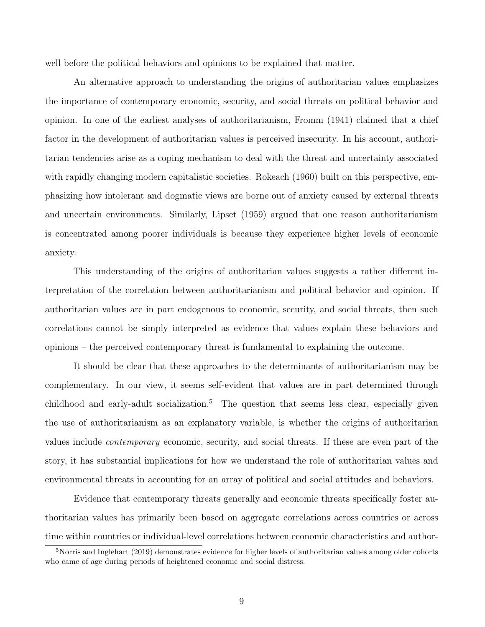well before the political behaviors and opinions to be explained that matter.

An alternative approach to understanding the origins of authoritarian values emphasizes the importance of contemporary economic, security, and social threats on political behavior and opinion. In one of the earliest analyses of authoritarianism, Fromm (1941) claimed that a chief factor in the development of authoritarian values is perceived insecurity. In his account, authoritarian tendencies arise as a coping mechanism to deal with the threat and uncertainty associated with rapidly changing modern capitalistic societies. Rokeach (1960) built on this perspective, emphasizing how intolerant and dogmatic views are borne out of anxiety caused by external threats and uncertain environments. Similarly, Lipset (1959) argued that one reason authoritarianism is concentrated among poorer individuals is because they experience higher levels of economic anxiety.

This understanding of the origins of authoritarian values suggests a rather different interpretation of the correlation between authoritarianism and political behavior and opinion. If authoritarian values are in part endogenous to economic, security, and social threats, then such correlations cannot be simply interpreted as evidence that values explain these behaviors and opinions – the perceived contemporary threat is fundamental to explaining the outcome.

It should be clear that these approaches to the determinants of authoritarianism may be complementary. In our view, it seems self-evident that values are in part determined through childhood and early-adult socialization.<sup>5</sup> The question that seems less clear, especially given the use of authoritarianism as an explanatory variable, is whether the origins of authoritarian values include contemporary economic, security, and social threats. If these are even part of the story, it has substantial implications for how we understand the role of authoritarian values and environmental threats in accounting for an array of political and social attitudes and behaviors.

Evidence that contemporary threats generally and economic threats specifically foster authoritarian values has primarily been based on aggregate correlations across countries or across time within countries or individual-level correlations between economic characteristics and author-

<sup>&</sup>lt;sup>5</sup>Norris and Inglehart (2019) demonstrates evidence for higher levels of authoritarian values among older cohorts who came of age during periods of heightened economic and social distress.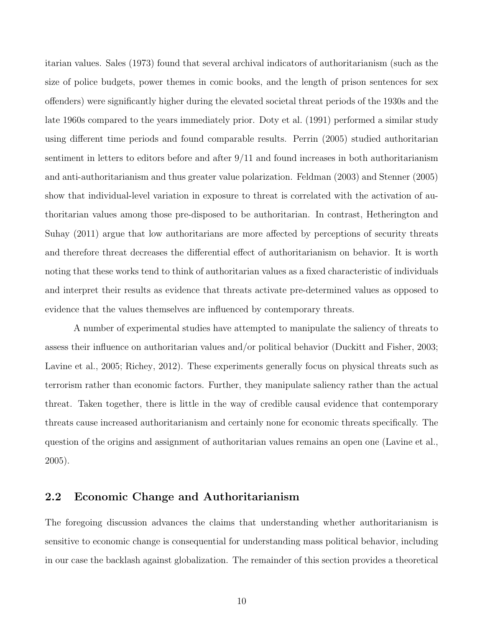itarian values. Sales (1973) found that several archival indicators of authoritarianism (such as the size of police budgets, power themes in comic books, and the length of prison sentences for sex offenders) were significantly higher during the elevated societal threat periods of the 1930s and the late 1960s compared to the years immediately prior. Doty et al. (1991) performed a similar study using different time periods and found comparable results. Perrin (2005) studied authoritarian sentiment in letters to editors before and after 9/11 and found increases in both authoritarianism and anti-authoritarianism and thus greater value polarization. Feldman (2003) and Stenner (2005) show that individual-level variation in exposure to threat is correlated with the activation of authoritarian values among those pre-disposed to be authoritarian. In contrast, Hetherington and Suhay (2011) argue that low authoritarians are more affected by perceptions of security threats and therefore threat decreases the differential effect of authoritarianism on behavior. It is worth noting that these works tend to think of authoritarian values as a fixed characteristic of individuals and interpret their results as evidence that threats activate pre-determined values as opposed to evidence that the values themselves are influenced by contemporary threats.

A number of experimental studies have attempted to manipulate the saliency of threats to assess their influence on authoritarian values and/or political behavior (Duckitt and Fisher, 2003; Lavine et al., 2005; Richey, 2012). These experiments generally focus on physical threats such as terrorism rather than economic factors. Further, they manipulate saliency rather than the actual threat. Taken together, there is little in the way of credible causal evidence that contemporary threats cause increased authoritarianism and certainly none for economic threats specifically. The question of the origins and assignment of authoritarian values remains an open one (Lavine et al., 2005).

#### 2.2 Economic Change and Authoritarianism

The foregoing discussion advances the claims that understanding whether authoritarianism is sensitive to economic change is consequential for understanding mass political behavior, including in our case the backlash against globalization. The remainder of this section provides a theoretical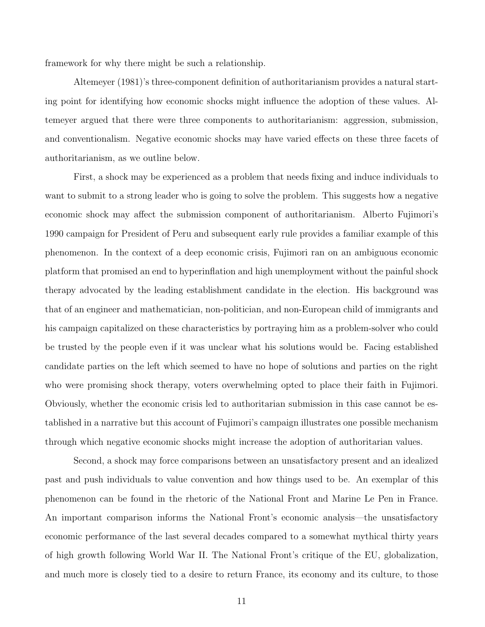framework for why there might be such a relationship.

Altemeyer (1981)'s three-component definition of authoritarianism provides a natural starting point for identifying how economic shocks might influence the adoption of these values. Altemeyer argued that there were three components to authoritarianism: aggression, submission, and conventionalism. Negative economic shocks may have varied effects on these three facets of authoritarianism, as we outline below.

First, a shock may be experienced as a problem that needs fixing and induce individuals to want to submit to a strong leader who is going to solve the problem. This suggests how a negative economic shock may affect the submission component of authoritarianism. Alberto Fujimori's 1990 campaign for President of Peru and subsequent early rule provides a familiar example of this phenomenon. In the context of a deep economic crisis, Fujimori ran on an ambiguous economic platform that promised an end to hyperinflation and high unemployment without the painful shock therapy advocated by the leading establishment candidate in the election. His background was that of an engineer and mathematician, non-politician, and non-European child of immigrants and his campaign capitalized on these characteristics by portraying him as a problem-solver who could be trusted by the people even if it was unclear what his solutions would be. Facing established candidate parties on the left which seemed to have no hope of solutions and parties on the right who were promising shock therapy, voters overwhelming opted to place their faith in Fujimori. Obviously, whether the economic crisis led to authoritarian submission in this case cannot be established in a narrative but this account of Fujimori's campaign illustrates one possible mechanism through which negative economic shocks might increase the adoption of authoritarian values.

Second, a shock may force comparisons between an unsatisfactory present and an idealized past and push individuals to value convention and how things used to be. An exemplar of this phenomenon can be found in the rhetoric of the National Front and Marine Le Pen in France. An important comparison informs the National Front's economic analysis—the unsatisfactory economic performance of the last several decades compared to a somewhat mythical thirty years of high growth following World War II. The National Front's critique of the EU, globalization, and much more is closely tied to a desire to return France, its economy and its culture, to those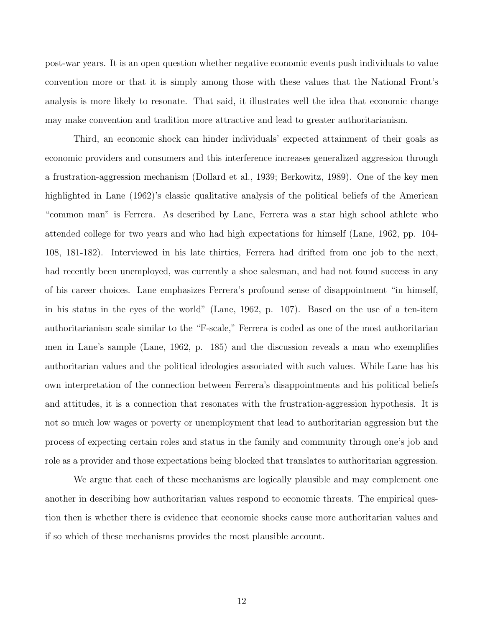post-war years. It is an open question whether negative economic events push individuals to value convention more or that it is simply among those with these values that the National Front's analysis is more likely to resonate. That said, it illustrates well the idea that economic change may make convention and tradition more attractive and lead to greater authoritarianism.

Third, an economic shock can hinder individuals' expected attainment of their goals as economic providers and consumers and this interference increases generalized aggression through a frustration-aggression mechanism (Dollard et al., 1939; Berkowitz, 1989). One of the key men highlighted in Lane (1962)'s classic qualitative analysis of the political beliefs of the American "common man" is Ferrera. As described by Lane, Ferrera was a star high school athlete who attended college for two years and who had high expectations for himself (Lane, 1962, pp. 104- 108, 181-182). Interviewed in his late thirties, Ferrera had drifted from one job to the next, had recently been unemployed, was currently a shoe salesman, and had not found success in any of his career choices. Lane emphasizes Ferrera's profound sense of disappointment "in himself, in his status in the eyes of the world" (Lane, 1962, p. 107). Based on the use of a ten-item authoritarianism scale similar to the "F-scale," Ferrera is coded as one of the most authoritarian men in Lane's sample (Lane, 1962, p. 185) and the discussion reveals a man who exemplifies authoritarian values and the political ideologies associated with such values. While Lane has his own interpretation of the connection between Ferrera's disappointments and his political beliefs and attitudes, it is a connection that resonates with the frustration-aggression hypothesis. It is not so much low wages or poverty or unemployment that lead to authoritarian aggression but the process of expecting certain roles and status in the family and community through one's job and role as a provider and those expectations being blocked that translates to authoritarian aggression.

We argue that each of these mechanisms are logically plausible and may complement one another in describing how authoritarian values respond to economic threats. The empirical question then is whether there is evidence that economic shocks cause more authoritarian values and if so which of these mechanisms provides the most plausible account.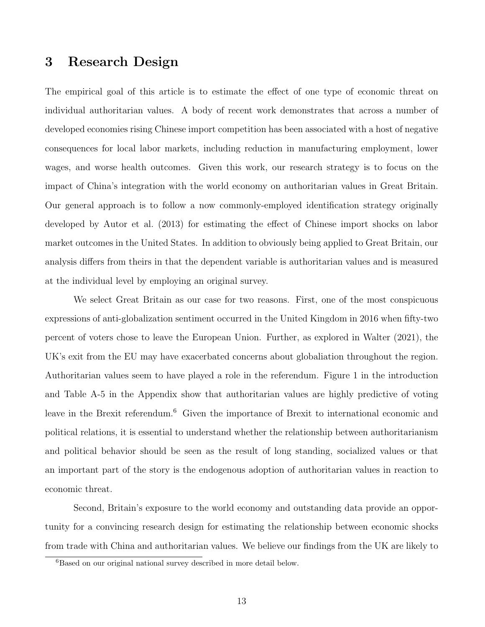#### 3 Research Design

The empirical goal of this article is to estimate the effect of one type of economic threat on individual authoritarian values. A body of recent work demonstrates that across a number of developed economies rising Chinese import competition has been associated with a host of negative consequences for local labor markets, including reduction in manufacturing employment, lower wages, and worse health outcomes. Given this work, our research strategy is to focus on the impact of China's integration with the world economy on authoritarian values in Great Britain. Our general approach is to follow a now commonly-employed identification strategy originally developed by Autor et al. (2013) for estimating the effect of Chinese import shocks on labor market outcomes in the United States. In addition to obviously being applied to Great Britain, our analysis differs from theirs in that the dependent variable is authoritarian values and is measured at the individual level by employing an original survey.

We select Great Britain as our case for two reasons. First, one of the most conspicuous expressions of anti-globalization sentiment occurred in the United Kingdom in 2016 when fifty-two percent of voters chose to leave the European Union. Further, as explored in Walter (2021), the UK's exit from the EU may have exacerbated concerns about globaliation throughout the region. Authoritarian values seem to have played a role in the referendum. Figure 1 in the introduction and Table A-5 in the Appendix show that authoritarian values are highly predictive of voting leave in the Brexit referendum.<sup>6</sup> Given the importance of Brexit to international economic and political relations, it is essential to understand whether the relationship between authoritarianism and political behavior should be seen as the result of long standing, socialized values or that an important part of the story is the endogenous adoption of authoritarian values in reaction to economic threat.

Second, Britain's exposure to the world economy and outstanding data provide an opportunity for a convincing research design for estimating the relationship between economic shocks from trade with China and authoritarian values. We believe our findings from the UK are likely to

<sup>&</sup>lt;sup>6</sup>Based on our original national survey described in more detail below.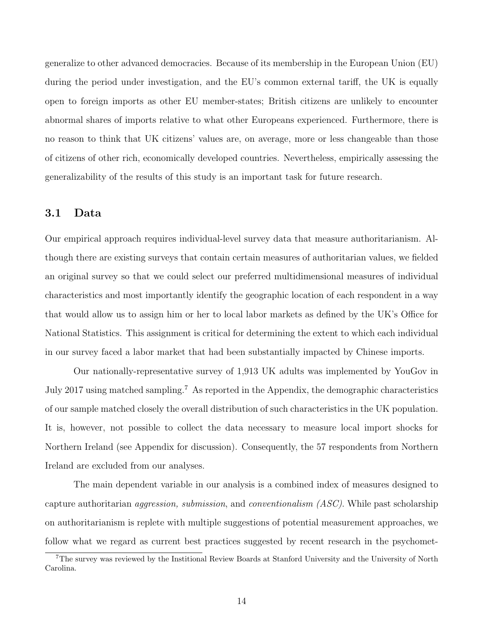generalize to other advanced democracies. Because of its membership in the European Union (EU) during the period under investigation, and the EU's common external tariff, the UK is equally open to foreign imports as other EU member-states; British citizens are unlikely to encounter abnormal shares of imports relative to what other Europeans experienced. Furthermore, there is no reason to think that UK citizens' values are, on average, more or less changeable than those of citizens of other rich, economically developed countries. Nevertheless, empirically assessing the generalizability of the results of this study is an important task for future research.

#### 3.1 Data

Our empirical approach requires individual-level survey data that measure authoritarianism. Although there are existing surveys that contain certain measures of authoritarian values, we fielded an original survey so that we could select our preferred multidimensional measures of individual characteristics and most importantly identify the geographic location of each respondent in a way that would allow us to assign him or her to local labor markets as defined by the UK's Office for National Statistics. This assignment is critical for determining the extent to which each individual in our survey faced a labor market that had been substantially impacted by Chinese imports.

Our nationally-representative survey of 1,913 UK adults was implemented by YouGov in July 2017 using matched sampling.<sup>7</sup> As reported in the Appendix, the demographic characteristics of our sample matched closely the overall distribution of such characteristics in the UK population. It is, however, not possible to collect the data necessary to measure local import shocks for Northern Ireland (see Appendix for discussion). Consequently, the 57 respondents from Northern Ireland are excluded from our analyses.

The main dependent variable in our analysis is a combined index of measures designed to capture authoritarian aggression, submission, and conventionalism (ASC). While past scholarship on authoritarianism is replete with multiple suggestions of potential measurement approaches, we follow what we regard as current best practices suggested by recent research in the psychomet-

<sup>7</sup>The survey was reviewed by the Institional Review Boards at Stanford University and the University of North Carolina.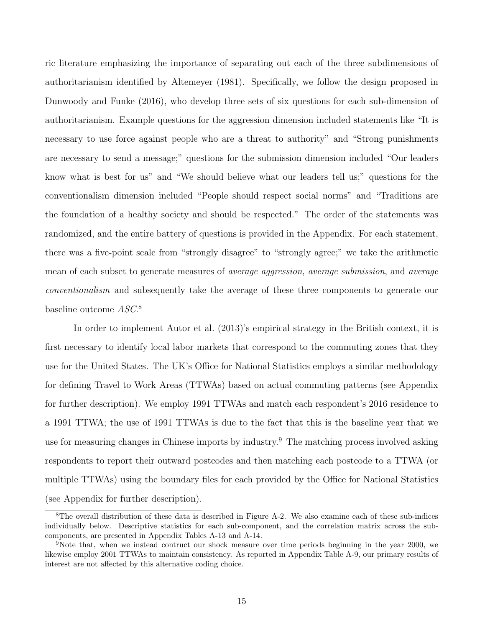ric literature emphasizing the importance of separating out each of the three subdimensions of authoritarianism identified by Altemeyer (1981). Specifically, we follow the design proposed in Dunwoody and Funke (2016), who develop three sets of six questions for each sub-dimension of authoritarianism. Example questions for the aggression dimension included statements like "It is necessary to use force against people who are a threat to authority" and "Strong punishments are necessary to send a message;" questions for the submission dimension included "Our leaders know what is best for us" and "We should believe what our leaders tell us;" questions for the conventionalism dimension included "People should respect social norms" and "Traditions are the foundation of a healthy society and should be respected." The order of the statements was randomized, and the entire battery of questions is provided in the Appendix. For each statement, there was a five-point scale from "strongly disagree" to "strongly agree;" we take the arithmetic mean of each subset to generate measures of *average aggression*, *average submission*, and *average* conventionalism and subsequently take the average of these three components to generate our baseline outcome  $ASC$ <sup>8</sup>

In order to implement Autor et al. (2013)'s empirical strategy in the British context, it is first necessary to identify local labor markets that correspond to the commuting zones that they use for the United States. The UK's Office for National Statistics employs a similar methodology for defining Travel to Work Areas (TTWAs) based on actual commuting patterns (see Appendix for further description). We employ 1991 TTWAs and match each respondent's 2016 residence to a 1991 TTWA; the use of 1991 TTWAs is due to the fact that this is the baseline year that we use for measuring changes in Chinese imports by industry.<sup>9</sup> The matching process involved asking respondents to report their outward postcodes and then matching each postcode to a TTWA (or multiple TTWAs) using the boundary files for each provided by the Office for National Statistics (see Appendix for further description).

<sup>8</sup>The overall distribution of these data is described in Figure A-2. We also examine each of these sub-indices individually below. Descriptive statistics for each sub-component, and the correlation matrix across the subcomponents, are presented in Appendix Tables A-13 and A-14.

<sup>9</sup>Note that, when we instead contruct our shock measure over time periods beginning in the year 2000, we likewise employ 2001 TTWAs to maintain consistency. As reported in Appendix Table A-9, our primary results of interest are not affected by this alternative coding choice.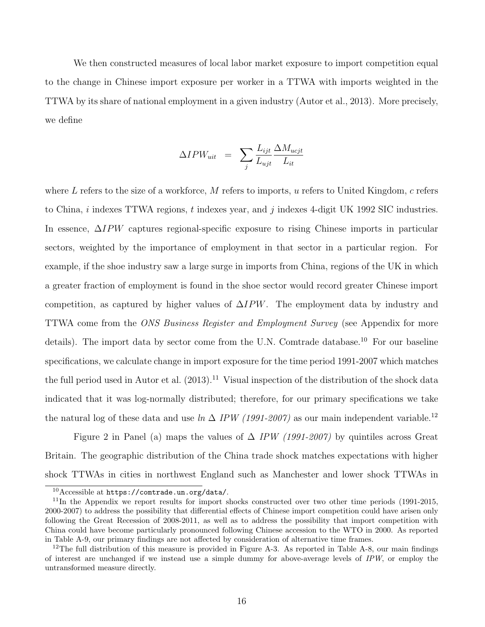We then constructed measures of local labor market exposure to import competition equal to the change in Chinese import exposure per worker in a TTWA with imports weighted in the TTWA by its share of national employment in a given industry (Autor et al., 2013). More precisely, we define

$$
\Delta IPW_{uit} = \sum_{j} \frac{L_{ijt}}{L_{ujt}} \frac{\Delta M_{ucjt}}{L_{it}}
$$

where L refers to the size of a workforce, M refers to imports, u refers to United Kingdom, c refers to China,  $i$  indexes TTWA regions,  $t$  indexes year, and  $j$  indexes 4-digit UK 1992 SIC industries. In essence, ∆IPW captures regional-specific exposure to rising Chinese imports in particular sectors, weighted by the importance of employment in that sector in a particular region. For example, if the shoe industry saw a large surge in imports from China, regions of the UK in which a greater fraction of employment is found in the shoe sector would record greater Chinese import competition, as captured by higher values of  $\Delta IPW$ . The employment data by industry and TTWA come from the ONS Business Register and Employment Survey (see Appendix for more details). The import data by sector come from the U.N. Comtrade database.<sup>10</sup> For our baseline specifications, we calculate change in import exposure for the time period 1991-2007 which matches the full period used in Autor et al.  $(2013).<sup>11</sup>$  Visual inspection of the distribution of the shock data indicated that it was log-normally distributed; therefore, for our primary specifications we take the natural log of these data and use  $\ln \Delta$  IPW (1991-2007) as our main independent variable.<sup>12</sup>

Figure 2 in Panel (a) maps the values of  $\Delta$  IPW (1991-2007) by quintiles across Great Britain. The geographic distribution of the China trade shock matches expectations with higher shock TTWAs in cities in northwest England such as Manchester and lower shock TTWAs in

<sup>10</sup>Accessible at https://comtrade.un.org/data/.

<sup>&</sup>lt;sup>11</sup>In the Appendix we report results for import shocks constructed over two other time periods (1991-2015, 2000-2007) to address the possibility that differential effects of Chinese import competition could have arisen only following the Great Recession of 2008-2011, as well as to address the possibility that import competition with China could have become particularly pronounced following Chinese accession to the WTO in 2000. As reported in Table A-9, our primary findings are not affected by consideration of alternative time frames.

<sup>&</sup>lt;sup>12</sup>The full distribution of this measure is provided in Figure A-3. As reported in Table A-8, our main findings of interest are unchanged if we instead use a simple dummy for above-average levels of IPW, or employ the untransformed measure directly.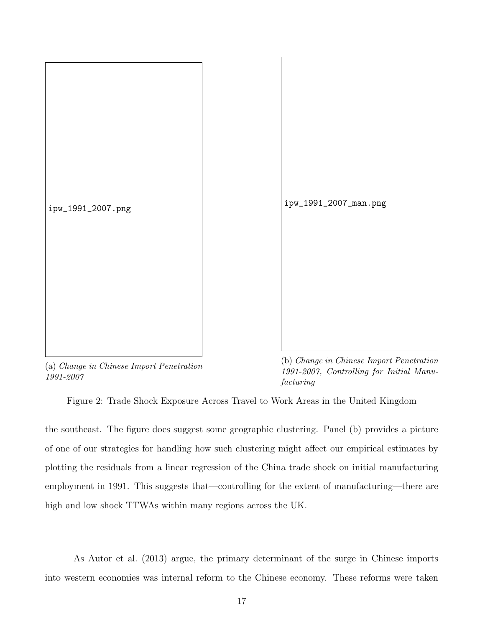

(a) Change in Chinese Import Penetration 1991-2007

(b) Change in Chinese Import Penetration 1991-2007, Controlling for Initial Manufacturing

Figure 2: Trade Shock Exposure Across Travel to Work Areas in the United Kingdom

the southeast. The figure does suggest some geographic clustering. Panel (b) provides a picture of one of our strategies for handling how such clustering might affect our empirical estimates by plotting the residuals from a linear regression of the China trade shock on initial manufacturing employment in 1991. This suggests that—controlling for the extent of manufacturing—there are high and low shock TTWAs within many regions across the UK.

As Autor et al. (2013) argue, the primary determinant of the surge in Chinese imports into western economies was internal reform to the Chinese economy. These reforms were taken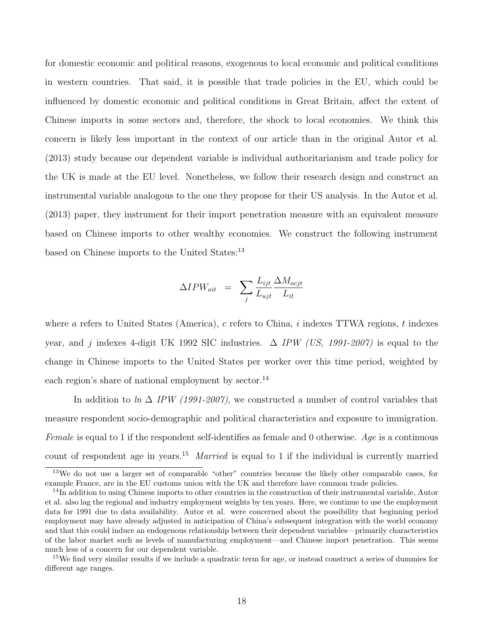for domestic economic and political reasons, exogenous to local economic and political conditions in western countries. That said, it is possible that trade policies in the EU, which could be influenced by domestic economic and political conditions in Great Britain, affect the extent of Chinese imports in some sectors and, therefore, the shock to local economies. We think this concern is likely less important in the context of our article than in the original Autor et al. (2013) study because our dependent variable is individual authoritarianism and trade policy for the UK is made at the EU level. Nonetheless, we follow their research design and construct an instrumental variable analogous to the one they propose for their US analysis. In the Autor et al. (2013) paper, they instrument for their import penetration measure with an equivalent measure based on Chinese imports to other wealthy economies. We construct the following instrument based on Chinese imports to the United States:<sup>13</sup>

$$
\Delta IPW_{ait} = \sum_{j} \frac{L_{ijt}}{L_{ujt}} \frac{\Delta M_{acjt}}{L_{it}}
$$

where a refers to United States (America), c refers to China, i indexes TTWA regions, t indexes year, and j indexes 4-digit UK 1992 SIC industries.  $\Delta$  IPW (US, 1991-2007) is equal to the change in Chinese imports to the United States per worker over this time period, weighted by each region's share of national employment by sector.<sup>14</sup>

In addition to ln  $\Delta$  IPW (1991-2007), we constructed a number of control variables that measure respondent socio-demographic and political characteristics and exposure to immigration. Female is equal to 1 if the respondent self-identifies as female and 0 otherwise. Age is a continuous count of respondent age in years.<sup>15</sup> Married is equal to 1 if the individual is currently married

<sup>13</sup>We do not use a larger set of comparable "other" countries because the likely other comparable cases, for example France, are in the EU customs union with the UK and therefore have common trade policies.

<sup>&</sup>lt;sup>14</sup>In addition to using Chinese imports to other countries in the construction of their instrumental variable, Autor et al. also lag the regional and industry employment weights by ten years. Here, we continue to use the employment data for 1991 due to data availability. Autor et al. were concerned about the possibility that beginning period employment may have already adjusted in anticipation of China's subsequent integration with the world economy and that this could induce an endogenous relationship between their dependent variables—primarily characteristics of the labor market such as levels of manufacturing employment—and Chinese import penetration. This seems much less of a concern for our dependent variable.

<sup>15</sup>We find very similar results if we include a quadratic term for age, or instead construct a series of dummies for different age ranges.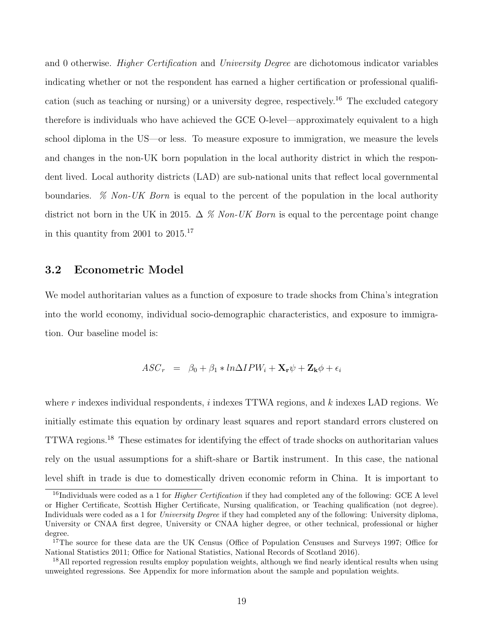and 0 otherwise. Higher Certification and University Degree are dichotomous indicator variables indicating whether or not the respondent has earned a higher certification or professional qualification (such as teaching or nursing) or a university degree, respectively.<sup>16</sup> The excluded category therefore is individuals who have achieved the GCE O-level—approximately equivalent to a high school diploma in the US—or less. To measure exposure to immigration, we measure the levels and changes in the non-UK born population in the local authority district in which the respondent lived. Local authority districts (LAD) are sub-national units that reflect local governmental boundaries.  $\%$  Non-UK Born is equal to the percent of the population in the local authority district not born in the UK in 2015.  $\Delta$  % Non-UK Born is equal to the percentage point change in this quantity from 2001 to 2015.<sup>17</sup>

#### 3.2 Econometric Model

We model authoritarian values as a function of exposure to trade shocks from China's integration into the world economy, individual socio-demographic characteristics, and exposure to immigration. Our baseline model is:

$$
ASCr = \beta_0 + \beta_1 * lnΔIPWi + \mathbf{X_r} \psi + \mathbf{Z_k} \phi + \epsilon_i
$$

where r indexes individual respondents,  $i$  indexes TTWA regions, and  $k$  indexes LAD regions. We initially estimate this equation by ordinary least squares and report standard errors clustered on TTWA regions.<sup>18</sup> These estimates for identifying the effect of trade shocks on authoritarian values rely on the usual assumptions for a shift-share or Bartik instrument. In this case, the national level shift in trade is due to domestically driven economic reform in China. It is important to

<sup>&</sup>lt;sup>16</sup>Individuals were coded as a 1 for *Higher Certification* if they had completed any of the following: GCE A level or Higher Certificate, Scottish Higher Certificate, Nursing qualification, or Teaching qualification (not degree). Individuals were coded as a 1 for *University Degree* if they had completed any of the following: University diploma, University or CNAA first degree, University or CNAA higher degree, or other technical, professional or higher degree.

<sup>&</sup>lt;sup>17</sup>The source for these data are the UK Census (Office of Population Censuses and Surveys 1997; Office for National Statistics 2011; Office for National Statistics, National Records of Scotland 2016).

<sup>&</sup>lt;sup>18</sup>All reported regression results employ population weights, although we find nearly identical results when using unweighted regressions. See Appendix for more information about the sample and population weights.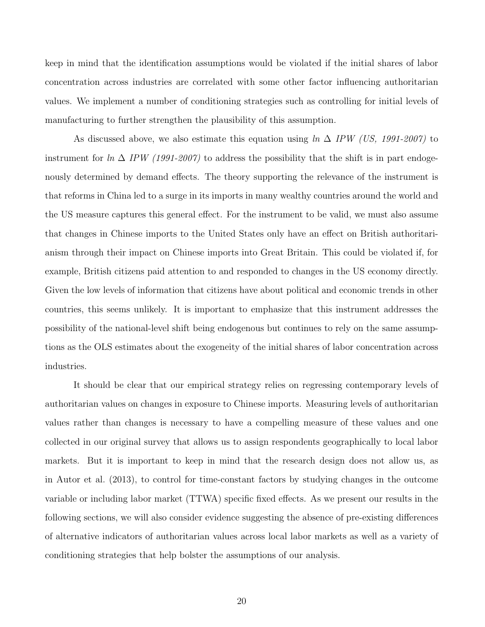keep in mind that the identification assumptions would be violated if the initial shares of labor concentration across industries are correlated with some other factor influencing authoritarian values. We implement a number of conditioning strategies such as controlling for initial levels of manufacturing to further strengthen the plausibility of this assumption.

As discussed above, we also estimate this equation using  $\ln \Delta$  IPW (US, 1991-2007) to instrument for  $\ln \Delta$  IPW (1991-2007) to address the possibility that the shift is in part endogenously determined by demand effects. The theory supporting the relevance of the instrument is that reforms in China led to a surge in its imports in many wealthy countries around the world and the US measure captures this general effect. For the instrument to be valid, we must also assume that changes in Chinese imports to the United States only have an effect on British authoritarianism through their impact on Chinese imports into Great Britain. This could be violated if, for example, British citizens paid attention to and responded to changes in the US economy directly. Given the low levels of information that citizens have about political and economic trends in other countries, this seems unlikely. It is important to emphasize that this instrument addresses the possibility of the national-level shift being endogenous but continues to rely on the same assumptions as the OLS estimates about the exogeneity of the initial shares of labor concentration across industries.

It should be clear that our empirical strategy relies on regressing contemporary levels of authoritarian values on changes in exposure to Chinese imports. Measuring levels of authoritarian values rather than changes is necessary to have a compelling measure of these values and one collected in our original survey that allows us to assign respondents geographically to local labor markets. But it is important to keep in mind that the research design does not allow us, as in Autor et al. (2013), to control for time-constant factors by studying changes in the outcome variable or including labor market (TTWA) specific fixed effects. As we present our results in the following sections, we will also consider evidence suggesting the absence of pre-existing differences of alternative indicators of authoritarian values across local labor markets as well as a variety of conditioning strategies that help bolster the assumptions of our analysis.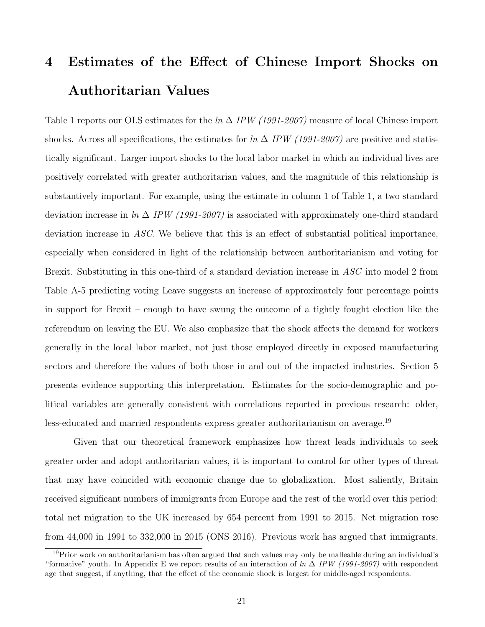# 4 Estimates of the Effect of Chinese Import Shocks on Authoritarian Values

Table 1 reports our OLS estimates for the  $\ln \Delta$  IPW (1991-2007) measure of local Chinese import shocks. Across all specifications, the estimates for  $\ln \Delta$  IPW (1991-2007) are positive and statistically significant. Larger import shocks to the local labor market in which an individual lives are positively correlated with greater authoritarian values, and the magnitude of this relationship is substantively important. For example, using the estimate in column 1 of Table 1, a two standard deviation increase in ln  $\Delta$  IPW (1991-2007) is associated with approximately one-third standard deviation increase in ASC. We believe that this is an effect of substantial political importance, especially when considered in light of the relationship between authoritarianism and voting for Brexit. Substituting in this one-third of a standard deviation increase in ASC into model 2 from Table A-5 predicting voting Leave suggests an increase of approximately four percentage points in support for Brexit – enough to have swung the outcome of a tightly fought election like the referendum on leaving the EU. We also emphasize that the shock affects the demand for workers generally in the local labor market, not just those employed directly in exposed manufacturing sectors and therefore the values of both those in and out of the impacted industries. Section 5 presents evidence supporting this interpretation. Estimates for the socio-demographic and political variables are generally consistent with correlations reported in previous research: older, less-educated and married respondents express greater authoritarianism on average.<sup>19</sup>

Given that our theoretical framework emphasizes how threat leads individuals to seek greater order and adopt authoritarian values, it is important to control for other types of threat that may have coincided with economic change due to globalization. Most saliently, Britain received significant numbers of immigrants from Europe and the rest of the world over this period: total net migration to the UK increased by 654 percent from 1991 to 2015. Net migration rose from 44,000 in 1991 to 332,000 in 2015 (ONS 2016). Previous work has argued that immigrants,

<sup>&</sup>lt;sup>19</sup>Prior work on authoritarianism has often argued that such values may only be malleable during an individual's "formative" youth. In Appendix E we report results of an interaction of  $\ln \Delta$  IPW (1991-2007) with respondent age that suggest, if anything, that the effect of the economic shock is largest for middle-aged respondents.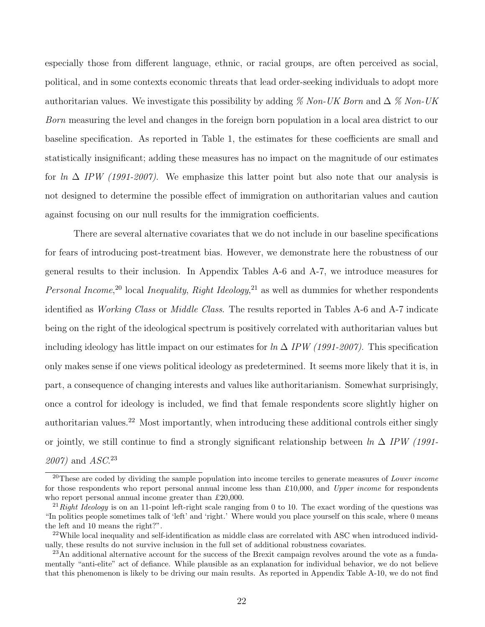especially those from different language, ethnic, or racial groups, are often perceived as social, political, and in some contexts economic threats that lead order-seeking individuals to adopt more authoritarian values. We investigate this possibility by adding % Non-UK Born and  $\Delta$  % Non-UK Born measuring the level and changes in the foreign born population in a local area district to our baseline specification. As reported in Table 1, the estimates for these coefficients are small and statistically insignificant; adding these measures has no impact on the magnitude of our estimates for ln  $\Delta$  IPW (1991-2007). We emphasize this latter point but also note that our analysis is not designed to determine the possible effect of immigration on authoritarian values and caution against focusing on our null results for the immigration coefficients.

There are several alternative covariates that we do not include in our baseline specifications for fears of introducing post-treatment bias. However, we demonstrate here the robustness of our general results to their inclusion. In Appendix Tables A-6 and A-7, we introduce measures for Personal Income,<sup>20</sup> local Inequality, Right Ideology,<sup>21</sup> as well as dummies for whether respondents identified as *Working Class* or *Middle Class*. The results reported in Tables A-6 and A-7 indicate being on the right of the ideological spectrum is positively correlated with authoritarian values but including ideology has little impact on our estimates for  $\ln \Delta IPW$  (1991-2007). This specification only makes sense if one views political ideology as predetermined. It seems more likely that it is, in part, a consequence of changing interests and values like authoritarianism. Somewhat surprisingly, once a control for ideology is included, we find that female respondents score slightly higher on authoritarian values.<sup>22</sup> Most importantly, when introducing these additional controls either singly or jointly, we still continue to find a strongly significant relationship between  $\ln \Delta$  IPW (1991-2007) and ASC. 23

 $20$ These are coded by dividing the sample population into income terciles to generate measures of Lower income for those respondents who report personal annual income less than £10,000, and Upper income for respondents who report personal annual income greater than £20,000.

<sup>&</sup>lt;sup>21</sup> Right Ideology is on an 11-point left-right scale ranging from 0 to 10. The exact wording of the questions was "In politics people sometimes talk of 'left' and 'right.' Where would you place yourself on this scale, where 0 means the left and 10 means the right?".

 $22$ While local inequality and self-identification as middle class are correlated with ASC when introduced individually, these results do not survive inclusion in the full set of additional robustness covariates.

<sup>&</sup>lt;sup>23</sup>An additional alternative account for the success of the Brexit campaign revolves around the vote as a fundamentally "anti-elite" act of defiance. While plausible as an explanation for individual behavior, we do not believe that this phenomenon is likely to be driving our main results. As reported in Appendix Table A-10, we do not find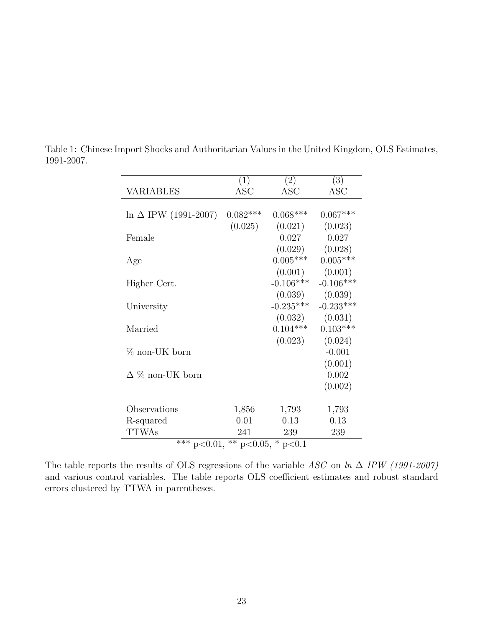|                              | (1)                                                 | (2)         | (3)         |  |  |  |  |  |
|------------------------------|-----------------------------------------------------|-------------|-------------|--|--|--|--|--|
| <b>VARIABLES</b>             | <b>ASC</b>                                          | <b>ASC</b>  | <b>ASC</b>  |  |  |  |  |  |
|                              |                                                     |             |             |  |  |  |  |  |
| $\ln \Delta$ IPW (1991-2007) | $0.082***$                                          | $0.068***$  | $0.067***$  |  |  |  |  |  |
|                              | (0.025)                                             | (0.021)     | (0.023)     |  |  |  |  |  |
| Female                       |                                                     | 0.027       | 0.027       |  |  |  |  |  |
|                              |                                                     | (0.029)     | (0.028)     |  |  |  |  |  |
| Age                          |                                                     | $0.005***$  | $0.005***$  |  |  |  |  |  |
|                              |                                                     | (0.001)     | (0.001)     |  |  |  |  |  |
| Higher Cert.                 |                                                     | $-0.106***$ | $-0.106***$ |  |  |  |  |  |
|                              |                                                     | (0.039)     | (0.039)     |  |  |  |  |  |
| University                   |                                                     | $-0.235***$ | $-0.233***$ |  |  |  |  |  |
|                              |                                                     | (0.032)     | (0.031)     |  |  |  |  |  |
| Married                      |                                                     | $0.104***$  | $0.103***$  |  |  |  |  |  |
|                              |                                                     | (0.023)     | (0.024)     |  |  |  |  |  |
| $\%$ non-UK born             |                                                     |             | $-0.001$    |  |  |  |  |  |
|                              |                                                     |             | (0.001)     |  |  |  |  |  |
| $\Delta$ % non-UK born       |                                                     |             | 0.002       |  |  |  |  |  |
|                              |                                                     |             | (0.002)     |  |  |  |  |  |
|                              |                                                     |             |             |  |  |  |  |  |
| Observations                 | 1,856                                               | 1,793       | 1,793       |  |  |  |  |  |
| R-squared                    | 0.01                                                | 0.13        | 0.13        |  |  |  |  |  |
| <b>TTWAs</b>                 | 241                                                 | 239         | 239         |  |  |  |  |  |
|                              | $\overline{***}$ p<0.01,<br>** $p<0.05$ , * $p<0.1$ |             |             |  |  |  |  |  |

Table 1: Chinese Import Shocks and Authoritarian Values in the United Kingdom, OLS Estimates, 1991-2007.

The table reports the results of OLS regressions of the variable ASC on ln  $\Delta$  IPW (1991-2007) and various control variables. The table reports OLS coefficient estimates and robust standard errors clustered by TTWA in parentheses.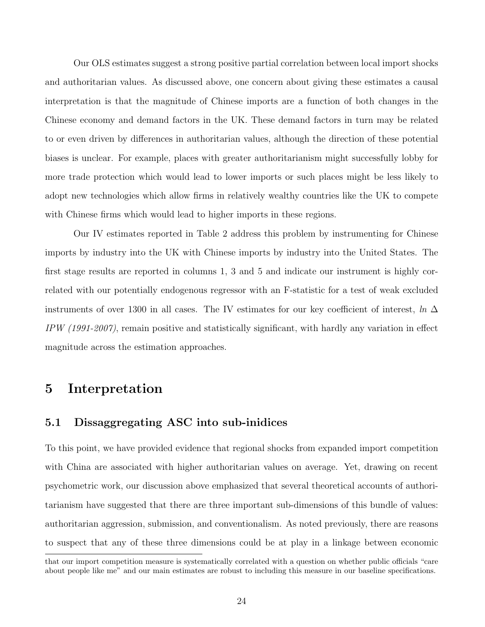Our OLS estimates suggest a strong positive partial correlation between local import shocks and authoritarian values. As discussed above, one concern about giving these estimates a causal interpretation is that the magnitude of Chinese imports are a function of both changes in the Chinese economy and demand factors in the UK. These demand factors in turn may be related to or even driven by differences in authoritarian values, although the direction of these potential biases is unclear. For example, places with greater authoritarianism might successfully lobby for more trade protection which would lead to lower imports or such places might be less likely to adopt new technologies which allow firms in relatively wealthy countries like the UK to compete with Chinese firms which would lead to higher imports in these regions.

Our IV estimates reported in Table 2 address this problem by instrumenting for Chinese imports by industry into the UK with Chinese imports by industry into the United States. The first stage results are reported in columns 1, 3 and 5 and indicate our instrument is highly correlated with our potentially endogenous regressor with an F-statistic for a test of weak excluded instruments of over 1300 in all cases. The IV estimates for our key coefficient of interest, ln  $\Delta$  $IPW$  (1991-2007), remain positive and statistically significant, with hardly any variation in effect magnitude across the estimation approaches.

### 5 Interpretation

#### 5.1 Dissaggregating ASC into sub-inidices

To this point, we have provided evidence that regional shocks from expanded import competition with China are associated with higher authoritarian values on average. Yet, drawing on recent psychometric work, our discussion above emphasized that several theoretical accounts of authoritarianism have suggested that there are three important sub-dimensions of this bundle of values: authoritarian aggression, submission, and conventionalism. As noted previously, there are reasons to suspect that any of these three dimensions could be at play in a linkage between economic

that our import competition measure is systematically correlated with a question on whether public officials "care about people like me" and our main estimates are robust to including this measure in our baseline specifications.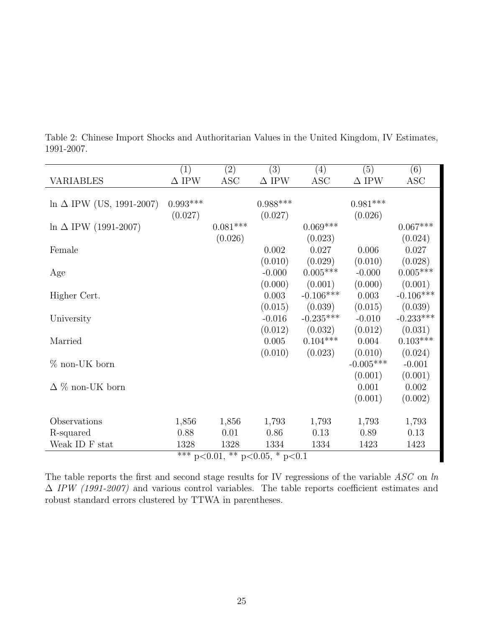|                                  | (1)          | (2)                                    | $\overline{(3)}$ | (4)         | $\overline{(5)}$ | $\overline{(6)}$ |
|----------------------------------|--------------|----------------------------------------|------------------|-------------|------------------|------------------|
| <b>VARIABLES</b>                 | $\Delta$ IPW | <b>ASC</b>                             | $\Delta$ IPW     | <b>ASC</b>  | $\Delta$ IPW     | <b>ASC</b>       |
|                                  |              |                                        |                  |             |                  |                  |
| $\ln \Delta$ IPW (US, 1991-2007) | $0.993***$   |                                        | $0.988***$       |             | $0.981***$       |                  |
|                                  | (0.027)      |                                        | (0.027)          |             | (0.026)          |                  |
| $\ln \Delta$ IPW (1991-2007)     |              | $0.081***$                             |                  | $0.069***$  |                  | $0.067***$       |
|                                  |              | (0.026)                                |                  | (0.023)     |                  | (0.024)          |
| Female                           |              |                                        | 0.002            | 0.027       | 0.006            | 0.027            |
|                                  |              |                                        | (0.010)          | (0.029)     | (0.010)          | (0.028)          |
| Age                              |              |                                        | $-0.000$         | $0.005***$  | $-0.000$         | $0.005***$       |
|                                  |              |                                        | (0.000)          | (0.001)     | (0.000)          | (0.001)          |
| Higher Cert.                     |              |                                        | 0.003            | $-0.106***$ | 0.003            | $-0.106***$      |
|                                  |              |                                        | (0.015)          | (0.039)     | (0.015)          | (0.039)          |
| University                       |              |                                        | $-0.016$         | $-0.235***$ | $-0.010$         | $-0.233***$      |
|                                  |              |                                        | (0.012)          | (0.032)     | (0.012)          | (0.031)          |
| Married                          |              |                                        | 0.005            | $0.104***$  | 0.004            | $0.103***$       |
|                                  |              |                                        | (0.010)          | (0.023)     | (0.010)          | (0.024)          |
| $\%$ non-UK born                 |              |                                        |                  |             | $-0.005***$      | $-0.001$         |
|                                  |              |                                        |                  |             | (0.001)          | (0.001)          |
| $\Delta \%$ non-UK born          |              |                                        |                  |             | 0.001            | 0.002            |
|                                  |              |                                        |                  |             | (0.001)          | (0.002)          |
|                                  |              |                                        |                  |             |                  |                  |
| Observations                     | 1,856        | 1,856                                  | 1,793            | 1,793       | 1,793            | 1,793            |
| R-squared                        | 0.88         | 0.01                                   | 0.86             | 0.13        | 0.89             | 0.13             |
| Weak ID F stat                   | 1328         | 1328                                   | 1334             | 1334        | 1423             | 1423             |
|                                  |              | *** $p<0.01$ , ** $p<0.05$ , * $p<0.1$ |                  |             |                  |                  |

Table 2: Chinese Import Shocks and Authoritarian Values in the United Kingdom, IV Estimates, 1991-2007.

The table reports the first and second stage results for IV regressions of the variable  $ASC$  on  $ln$  $\Delta$  IPW (1991-2007) and various control variables. The table reports coefficient estimates and robust standard errors clustered by TTWA in parentheses.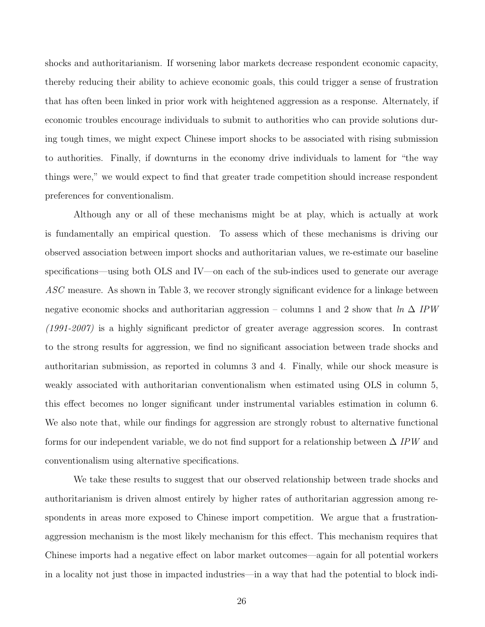shocks and authoritarianism. If worsening labor markets decrease respondent economic capacity, thereby reducing their ability to achieve economic goals, this could trigger a sense of frustration that has often been linked in prior work with heightened aggression as a response. Alternately, if economic troubles encourage individuals to submit to authorities who can provide solutions during tough times, we might expect Chinese import shocks to be associated with rising submission to authorities. Finally, if downturns in the economy drive individuals to lament for "the way things were," we would expect to find that greater trade competition should increase respondent preferences for conventionalism.

Although any or all of these mechanisms might be at play, which is actually at work is fundamentally an empirical question. To assess which of these mechanisms is driving our observed association between import shocks and authoritarian values, we re-estimate our baseline specifications—using both OLS and IV—on each of the sub-indices used to generate our average ASC measure. As shown in Table 3, we recover strongly significant evidence for a linkage between negative economic shocks and authoritarian aggression – columns 1 and 2 show that  $ln \Delta IPW$ (1991-2007) is a highly significant predictor of greater average aggression scores. In contrast to the strong results for aggression, we find no significant association between trade shocks and authoritarian submission, as reported in columns 3 and 4. Finally, while our shock measure is weakly associated with authoritarian conventionalism when estimated using OLS in column 5, this effect becomes no longer significant under instrumental variables estimation in column 6. We also note that, while our findings for aggression are strongly robust to alternative functional forms for our independent variable, we do not find support for a relationship between  $\Delta$  IPW and conventionalism using alternative specifications.

We take these results to suggest that our observed relationship between trade shocks and authoritarianism is driven almost entirely by higher rates of authoritarian aggression among respondents in areas more exposed to Chinese import competition. We argue that a frustrationaggression mechanism is the most likely mechanism for this effect. This mechanism requires that Chinese imports had a negative effect on labor market outcomes—again for all potential workers in a locality not just those in impacted industries—in a way that had the potential to block indi-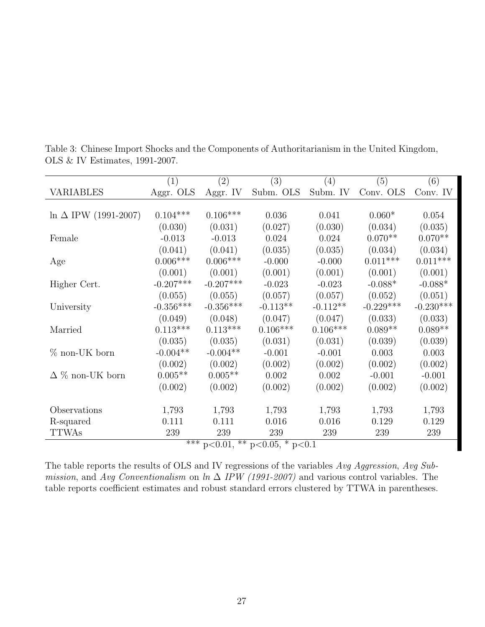|                              | (1)         | (2)         | (3)                                              | (4)        | (5)         | (6)         |
|------------------------------|-------------|-------------|--------------------------------------------------|------------|-------------|-------------|
| <b>VARIABLES</b>             | Aggr. OLS   | Aggr. IV    | Subm. OLS                                        | Subm. IV   | Conv. OLS   | Conv. IV    |
|                              |             |             |                                                  |            |             |             |
| $\ln \Delta$ IPW (1991-2007) | $0.104***$  | $0.106***$  | 0.036                                            | 0.041      | $0.060*$    | 0.054       |
|                              | (0.030)     | (0.031)     | (0.027)                                          | (0.030)    | (0.034)     | (0.035)     |
| Female                       | $-0.013$    | $-0.013$    | 0.024                                            | 0.024      | $0.070**$   | $0.070**$   |
|                              | (0.041)     | (0.041)     | (0.035)                                          | (0.035)    | (0.034)     | (0.034)     |
| Age                          | $0.006***$  | $0.006***$  | $-0.000$                                         | $-0.000$   | $0.011***$  | $0.011***$  |
|                              | (0.001)     | (0.001)     | (0.001)                                          | (0.001)    | (0.001)     | (0.001)     |
| Higher Cert.                 | $-0.207***$ | $-0.207***$ | $-0.023$                                         | $-0.023$   | $-0.088*$   | $-0.088*$   |
|                              | (0.055)     | (0.055)     | (0.057)                                          | (0.057)    | (0.052)     | (0.051)     |
| University                   | $-0.356***$ | $-0.356***$ | $-0.113**$                                       | $-0.112**$ | $-0.229***$ | $-0.230***$ |
|                              | (0.049)     | (0.048)     | (0.047)                                          | (0.047)    | (0.033)     | (0.033)     |
| Married                      | $0.113***$  | $0.113***$  | $0.106***$                                       | $0.106***$ | $0.089**$   | $0.089**$   |
|                              | (0.035)     | (0.035)     | (0.031)                                          | (0.031)    | (0.039)     | (0.039)     |
| $%$ non-UK born              | $-0.004**$  | $-0.004**$  | $-0.001$                                         | $-0.001$   | 0.003       | 0.003       |
|                              | (0.002)     | (0.002)     | (0.002)                                          | (0.002)    | (0.002)     | (0.002)     |
| $\Delta \%$ non-UK born      | $0.005**$   | $0.005**$   | 0.002                                            | 0.002      | $-0.001$    | $-0.001$    |
|                              | (0.002)     | (0.002)     | (0.002)                                          | (0.002)    | (0.002)     | (0.002)     |
|                              |             |             |                                                  |            |             |             |
| Observations                 | 1,793       | 1,793       | 1,793                                            | 1,793      | 1,793       | 1,793       |
| R-squared                    | 0.111       | 0.111       | 0.016                                            | 0.016      | 0.129       | 0.129       |
| <b>TTWAs</b>                 | 239         | 239         | 239                                              | 239        | 239         | 239         |
|                              | $***$       |             | $\overline{p<0.01, \ast\ast p}<0.05, \ast p<0.1$ |            |             |             |

Table 3: Chinese Import Shocks and the Components of Authoritarianism in the United Kingdom, OLS & IV Estimates, 1991-2007.

The table reports the results of OLS and IV regressions of the variables Avg Aggression, Avg Submission, and Avg Conventionalism on ln  $\Delta$  IPW (1991-2007) and various control variables. The table reports coefficient estimates and robust standard errors clustered by TTWA in parentheses.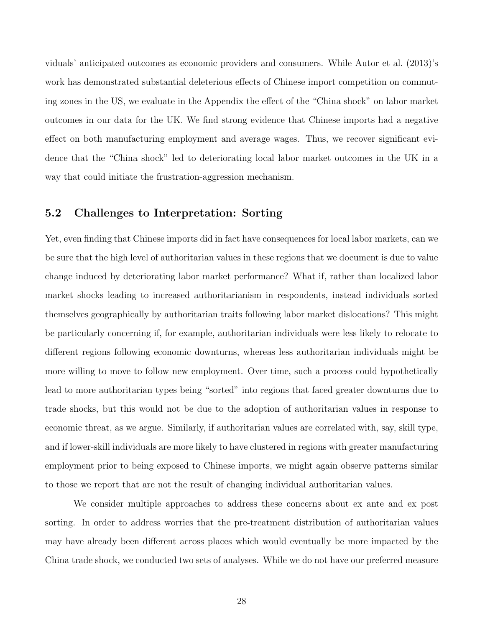viduals' anticipated outcomes as economic providers and consumers. While Autor et al. (2013)'s work has demonstrated substantial deleterious effects of Chinese import competition on commuting zones in the US, we evaluate in the Appendix the effect of the "China shock" on labor market outcomes in our data for the UK. We find strong evidence that Chinese imports had a negative effect on both manufacturing employment and average wages. Thus, we recover significant evidence that the "China shock" led to deteriorating local labor market outcomes in the UK in a way that could initiate the frustration-aggression mechanism.

#### 5.2 Challenges to Interpretation: Sorting

Yet, even finding that Chinese imports did in fact have consequences for local labor markets, can we be sure that the high level of authoritarian values in these regions that we document is due to value change induced by deteriorating labor market performance? What if, rather than localized labor market shocks leading to increased authoritarianism in respondents, instead individuals sorted themselves geographically by authoritarian traits following labor market dislocations? This might be particularly concerning if, for example, authoritarian individuals were less likely to relocate to different regions following economic downturns, whereas less authoritarian individuals might be more willing to move to follow new employment. Over time, such a process could hypothetically lead to more authoritarian types being "sorted" into regions that faced greater downturns due to trade shocks, but this would not be due to the adoption of authoritarian values in response to economic threat, as we argue. Similarly, if authoritarian values are correlated with, say, skill type, and if lower-skill individuals are more likely to have clustered in regions with greater manufacturing employment prior to being exposed to Chinese imports, we might again observe patterns similar to those we report that are not the result of changing individual authoritarian values.

We consider multiple approaches to address these concerns about ex ante and ex post sorting. In order to address worries that the pre-treatment distribution of authoritarian values may have already been different across places which would eventually be more impacted by the China trade shock, we conducted two sets of analyses. While we do not have our preferred measure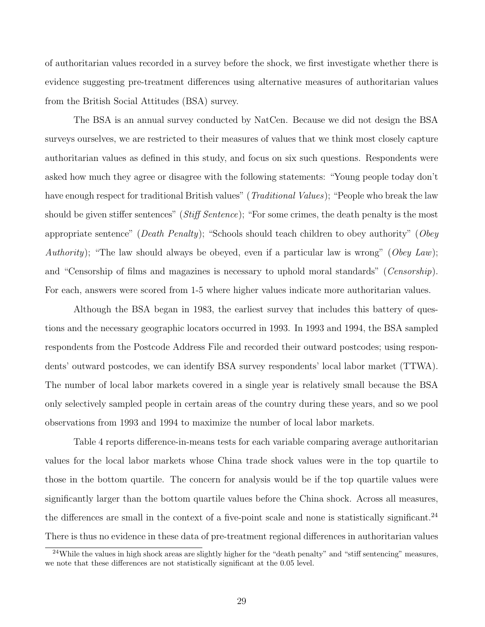of authoritarian values recorded in a survey before the shock, we first investigate whether there is evidence suggesting pre-treatment differences using alternative measures of authoritarian values from the British Social Attitudes (BSA) survey.

The BSA is an annual survey conducted by NatCen. Because we did not design the BSA surveys ourselves, we are restricted to their measures of values that we think most closely capture authoritarian values as defined in this study, and focus on six such questions. Respondents were asked how much they agree or disagree with the following statements: "Young people today don't have enough respect for traditional British values" (*Traditional Values*); "People who break the law should be given stiffer sentences" (*Stiff Sentence*); "For some crimes, the death penalty is the most appropriate sentence" (*Death Penalty*); "Schools should teach children to obey authority" (*Obey* Authority); "The law should always be obeyed, even if a particular law is wrong" (Obey Law); and "Censorship of films and magazines is necessary to uphold moral standards" (*Censorship*). For each, answers were scored from 1-5 where higher values indicate more authoritarian values.

Although the BSA began in 1983, the earliest survey that includes this battery of questions and the necessary geographic locators occurred in 1993. In 1993 and 1994, the BSA sampled respondents from the Postcode Address File and recorded their outward postcodes; using respondents' outward postcodes, we can identify BSA survey respondents' local labor market (TTWA). The number of local labor markets covered in a single year is relatively small because the BSA only selectively sampled people in certain areas of the country during these years, and so we pool observations from 1993 and 1994 to maximize the number of local labor markets.

Table 4 reports difference-in-means tests for each variable comparing average authoritarian values for the local labor markets whose China trade shock values were in the top quartile to those in the bottom quartile. The concern for analysis would be if the top quartile values were significantly larger than the bottom quartile values before the China shock. Across all measures, the differences are small in the context of a five-point scale and none is statistically significant.<sup>24</sup> There is thus no evidence in these data of pre-treatment regional differences in authoritarian values

<sup>&</sup>lt;sup>24</sup>While the values in high shock areas are slightly higher for the "death penalty" and "stiff sentencing" measures, we note that these differences are not statistically significant at the 0.05 level.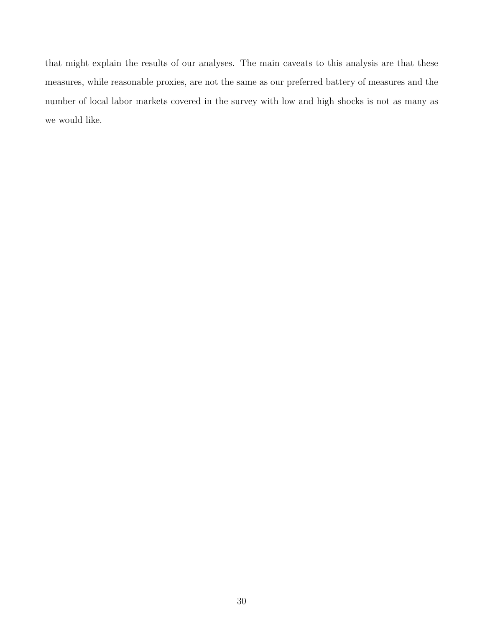that might explain the results of our analyses. The main caveats to this analysis are that these measures, while reasonable proxies, are not the same as our preferred battery of measures and the number of local labor markets covered in the survey with low and high shocks is not as many as we would like.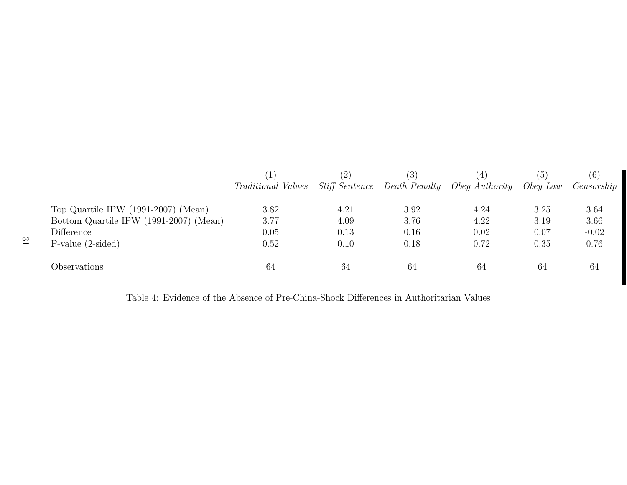|                                        |                           | $\left( 2\right)$ | (3)                                 | $\pm$                 | (5)      | (6)        |
|----------------------------------------|---------------------------|-------------------|-------------------------------------|-----------------------|----------|------------|
|                                        | <i>Traditional Values</i> |                   | <i>Stiff Sentence</i> Death Penalty | <i>Obey Authority</i> | Obey Law | Censorship |
|                                        |                           |                   |                                     |                       |          |            |
| Top Quartile IPW $(1991-2007)$ (Mean)  | 3.82                      | 4.21              | 3.92                                | 4.24                  | 3.25     | 3.64       |
| Bottom Quartile IPW (1991-2007) (Mean) | 3.77                      | 4.09              | 3.76                                | 4.22                  | 3.19     | 3.66       |
| Difference                             | 0.05                      | 0.13              | 0.16                                | 0.02                  | 0.07     | $-0.02$    |
| $P-value (2-sided)$                    | 0.52                      | 0.10              | 0.18                                | 0.72                  | 0.35     | 0.76       |
|                                        |                           |                   |                                     |                       |          |            |
| Observations                           | 64                        | 64                | 64                                  | 64                    | 64       | 64         |

Table 4: Evidence of the Absence of Pre-China-Shock Differences in Authoritarian Values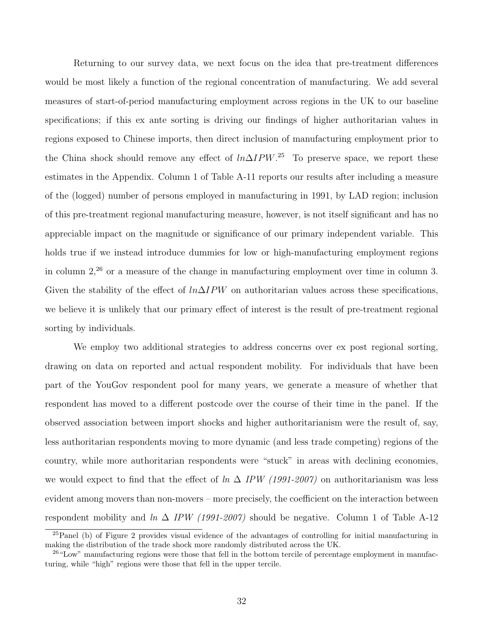Returning to our survey data, we next focus on the idea that pre-treatment differences would be most likely a function of the regional concentration of manufacturing. We add several measures of start-of-period manufacturing employment across regions in the UK to our baseline specifications; if this ex ante sorting is driving our findings of higher authoritarian values in regions exposed to Chinese imports, then direct inclusion of manufacturing employment prior to the China shock should remove any effect of  $ln\Delta IPW$ .<sup>25</sup> To preserve space, we report these estimates in the Appendix. Column 1 of Table A-11 reports our results after including a measure of the (logged) number of persons employed in manufacturing in 1991, by LAD region; inclusion of this pre-treatment regional manufacturing measure, however, is not itself significant and has no appreciable impact on the magnitude or significance of our primary independent variable. This holds true if we instead introduce dummies for low or high-manufacturing employment regions in column  $2<sup>26</sup>$  or a measure of the change in manufacturing employment over time in column 3. Given the stability of the effect of  $ln\Delta IPW$  on authoritarian values across these specifications, we believe it is unlikely that our primary effect of interest is the result of pre-treatment regional sorting by individuals.

We employ two additional strategies to address concerns over ex post regional sorting, drawing on data on reported and actual respondent mobility. For individuals that have been part of the YouGov respondent pool for many years, we generate a measure of whether that respondent has moved to a different postcode over the course of their time in the panel. If the observed association between import shocks and higher authoritarianism were the result of, say, less authoritarian respondents moving to more dynamic (and less trade competing) regions of the country, while more authoritarian respondents were "stuck" in areas with declining economies, we would expect to find that the effect of  $\ln \Delta$  IPW (1991-2007) on authoritarianism was less evident among movers than non-movers – more precisely, the coefficient on the interaction between respondent mobility and  $\ln \Delta$  IPW (1991-2007) should be negative. Column 1 of Table A-12

<sup>25</sup>Panel (b) of Figure 2 provides visual evidence of the advantages of controlling for initial manufacturing in making the distribution of the trade shock more randomly distributed across the UK.

<sup>&</sup>lt;sup>26</sup>"Low" manufacturing regions were those that fell in the bottom tercile of percentage employment in manufacturing, while "high" regions were those that fell in the upper tercile.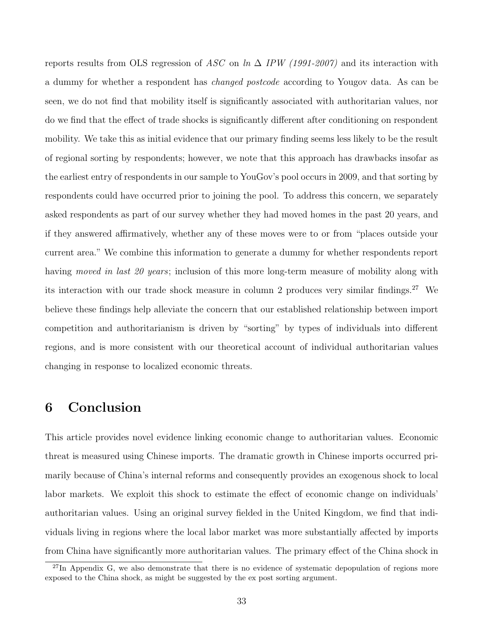reports results from OLS regression of ASC on ln  $\Delta$  IPW (1991-2007) and its interaction with a dummy for whether a respondent has *changed postcode* according to Yougov data. As can be seen, we do not find that mobility itself is significantly associated with authoritarian values, nor do we find that the effect of trade shocks is significantly different after conditioning on respondent mobility. We take this as initial evidence that our primary finding seems less likely to be the result of regional sorting by respondents; however, we note that this approach has drawbacks insofar as the earliest entry of respondents in our sample to YouGov's pool occurs in 2009, and that sorting by respondents could have occurred prior to joining the pool. To address this concern, we separately asked respondents as part of our survey whether they had moved homes in the past 20 years, and if they answered affirmatively, whether any of these moves were to or from "places outside your current area." We combine this information to generate a dummy for whether respondents report having moved in last 20 years; inclusion of this more long-term measure of mobility along with its interaction with our trade shock measure in column 2 produces very similar findings.<sup>27</sup> We believe these findings help alleviate the concern that our established relationship between import competition and authoritarianism is driven by "sorting" by types of individuals into different regions, and is more consistent with our theoretical account of individual authoritarian values changing in response to localized economic threats.

### 6 Conclusion

This article provides novel evidence linking economic change to authoritarian values. Economic threat is measured using Chinese imports. The dramatic growth in Chinese imports occurred primarily because of China's internal reforms and consequently provides an exogenous shock to local labor markets. We exploit this shock to estimate the effect of economic change on individuals' authoritarian values. Using an original survey fielded in the United Kingdom, we find that individuals living in regions where the local labor market was more substantially affected by imports from China have significantly more authoritarian values. The primary effect of the China shock in

 $^{27}$ In Appendix G, we also demonstrate that there is no evidence of systematic depopulation of regions more exposed to the China shock, as might be suggested by the ex post sorting argument.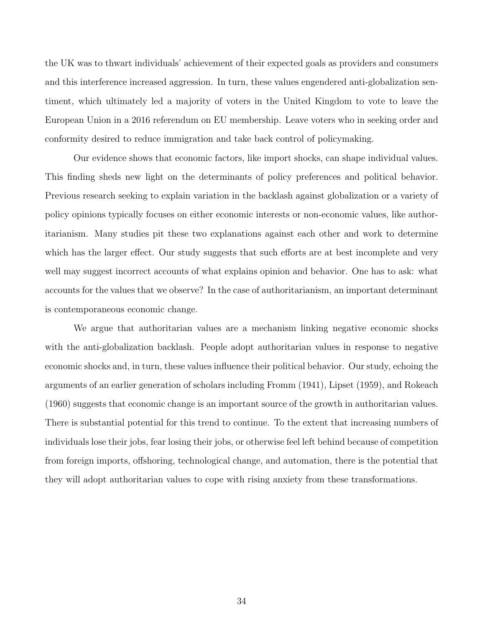the UK was to thwart individuals' achievement of their expected goals as providers and consumers and this interference increased aggression. In turn, these values engendered anti-globalization sentiment, which ultimately led a majority of voters in the United Kingdom to vote to leave the European Union in a 2016 referendum on EU membership. Leave voters who in seeking order and conformity desired to reduce immigration and take back control of policymaking.

Our evidence shows that economic factors, like import shocks, can shape individual values. This finding sheds new light on the determinants of policy preferences and political behavior. Previous research seeking to explain variation in the backlash against globalization or a variety of policy opinions typically focuses on either economic interests or non-economic values, like authoritarianism. Many studies pit these two explanations against each other and work to determine which has the larger effect. Our study suggests that such efforts are at best incomplete and very well may suggest incorrect accounts of what explains opinion and behavior. One has to ask: what accounts for the values that we observe? In the case of authoritarianism, an important determinant is contemporaneous economic change.

We argue that authoritarian values are a mechanism linking negative economic shocks with the anti-globalization backlash. People adopt authoritarian values in response to negative economic shocks and, in turn, these values influence their political behavior. Our study, echoing the arguments of an earlier generation of scholars including Fromm (1941), Lipset (1959), and Rokeach (1960) suggests that economic change is an important source of the growth in authoritarian values. There is substantial potential for this trend to continue. To the extent that increasing numbers of individuals lose their jobs, fear losing their jobs, or otherwise feel left behind because of competition from foreign imports, offshoring, technological change, and automation, there is the potential that they will adopt authoritarian values to cope with rising anxiety from these transformations.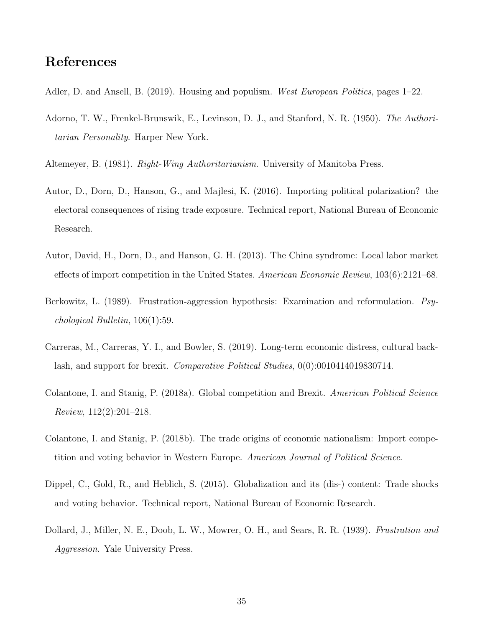#### References

- Adler, D. and Ansell, B. (2019). Housing and populism. West European Politics, pages 1–22.
- Adorno, T. W., Frenkel-Brunswik, E., Levinson, D. J., and Stanford, N. R. (1950). The Authoritarian Personality. Harper New York.
- Altemeyer, B. (1981). Right-Wing Authoritarianism. University of Manitoba Press.
- Autor, D., Dorn, D., Hanson, G., and Majlesi, K. (2016). Importing political polarization? the electoral consequences of rising trade exposure. Technical report, National Bureau of Economic Research.
- Autor, David, H., Dorn, D., and Hanson, G. H. (2013). The China syndrome: Local labor market effects of import competition in the United States. American Economic Review, 103(6):2121–68.
- Berkowitz, L. (1989). Frustration-aggression hypothesis: Examination and reformulation. Psychological Bulletin, 106(1):59.
- Carreras, M., Carreras, Y. I., and Bowler, S. (2019). Long-term economic distress, cultural backlash, and support for brexit. Comparative Political Studies, 0(0):0010414019830714.
- Colantone, I. and Stanig, P. (2018a). Global competition and Brexit. American Political Science Review, 112(2):201–218.
- Colantone, I. and Stanig, P. (2018b). The trade origins of economic nationalism: Import competition and voting behavior in Western Europe. American Journal of Political Science.
- Dippel, C., Gold, R., and Heblich, S. (2015). Globalization and its (dis-) content: Trade shocks and voting behavior. Technical report, National Bureau of Economic Research.
- Dollard, J., Miller, N. E., Doob, L. W., Mowrer, O. H., and Sears, R. R. (1939). Frustration and Aggression. Yale University Press.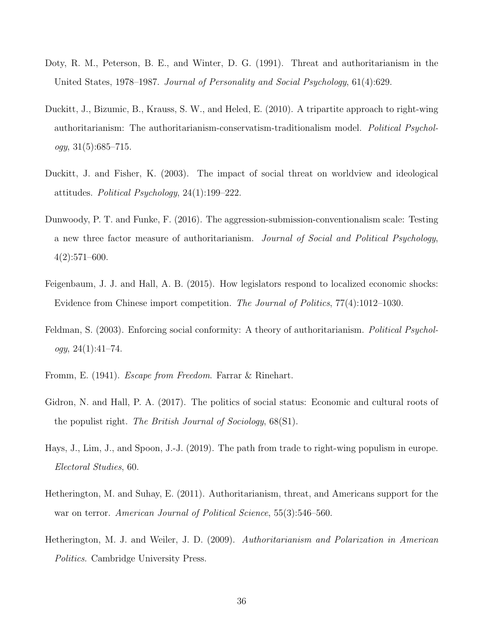- Doty, R. M., Peterson, B. E., and Winter, D. G. (1991). Threat and authoritarianism in the United States, 1978–1987. Journal of Personality and Social Psychology, 61(4):629.
- Duckitt, J., Bizumic, B., Krauss, S. W., and Heled, E. (2010). A tripartite approach to right-wing authoritarianism: The authoritarianism-conservatism-traditionalism model. Political Psychol $ogy, 31(5):685-715.$
- Duckitt, J. and Fisher, K. (2003). The impact of social threat on worldview and ideological attitudes. Political Psychology, 24(1):199–222.
- Dunwoody, P. T. and Funke, F. (2016). The aggression-submission-conventionalism scale: Testing a new three factor measure of authoritarianism. Journal of Social and Political Psychology, 4(2):571–600.
- Feigenbaum, J. J. and Hall, A. B. (2015). How legislators respond to localized economic shocks: Evidence from Chinese import competition. The Journal of Politics, 77(4):1012–1030.
- Feldman, S. (2003). Enforcing social conformity: A theory of authoritarianism. Political Psychol $oqy, 24(1):41-74.$
- Fromm, E. (1941). Escape from Freedom. Farrar & Rinehart.
- Gidron, N. and Hall, P. A. (2017). The politics of social status: Economic and cultural roots of the populist right. The British Journal of Sociology, 68(S1).
- Hays, J., Lim, J., and Spoon, J.-J. (2019). The path from trade to right-wing populism in europe. Electoral Studies, 60.
- Hetherington, M. and Suhay, E. (2011). Authoritarianism, threat, and Americans support for the war on terror. American Journal of Political Science, 55(3):546–560.
- Hetherington, M. J. and Weiler, J. D. (2009). Authoritarianism and Polarization in American Politics. Cambridge University Press.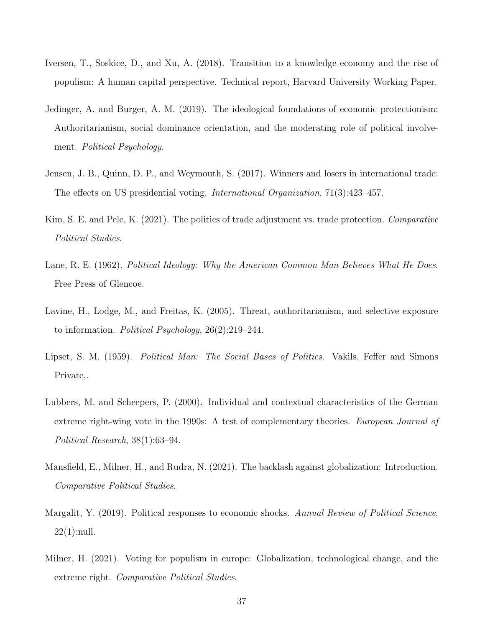- Iversen, T., Soskice, D., and Xu, A. (2018). Transition to a knowledge economy and the rise of populism: A human capital perspective. Technical report, Harvard University Working Paper.
- Jedinger, A. and Burger, A. M. (2019). The ideological foundations of economic protectionism: Authoritarianism, social dominance orientation, and the moderating role of political involvement. Political Psychology.
- Jensen, J. B., Quinn, D. P., and Weymouth, S. (2017). Winners and losers in international trade: The effects on US presidential voting. International Organization, 71(3):423–457.
- Kim, S. E. and Pelc, K. (2021). The politics of trade adjustment vs. trade protection. Comparative Political Studies.
- Lane, R. E. (1962). Political Ideology: Why the American Common Man Believes What He Does. Free Press of Glencoe.
- Lavine, H., Lodge, M., and Freitas, K. (2005). Threat, authoritarianism, and selective exposure to information. Political Psychology, 26(2):219–244.
- Lipset, S. M. (1959). *Political Man: The Social Bases of Politics*. Vakils, Feffer and Simons Private,.
- Lubbers, M. and Scheepers, P. (2000). Individual and contextual characteristics of the German extreme right-wing vote in the 1990s: A test of complementary theories. European Journal of Political Research, 38(1):63–94.
- Mansfield, E., Milner, H., and Rudra, N. (2021). The backlash against globalization: Introduction. Comparative Political Studies.
- Margalit, Y. (2019). Political responses to economic shocks. Annual Review of Political Science, 22(1):null.
- Milner, H. (2021). Voting for populism in europe: Globalization, technological change, and the extreme right. Comparative Political Studies.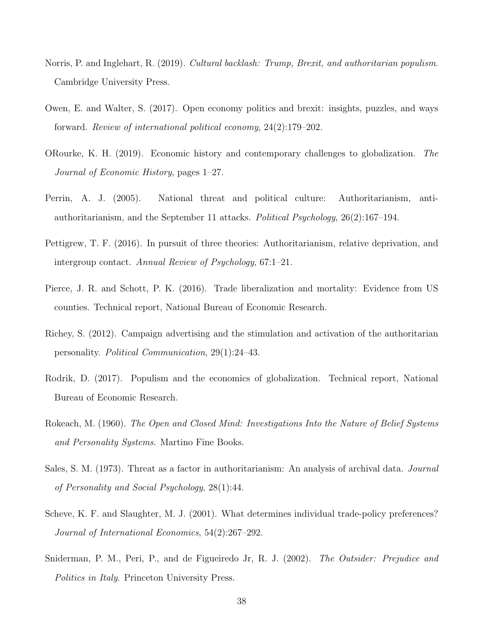- Norris, P. and Inglehart, R. (2019). *Cultural backlash: Trump, Brexit, and authoritarian populism.* Cambridge University Press.
- Owen, E. and Walter, S. (2017). Open economy politics and brexit: insights, puzzles, and ways forward. Review of international political economy, 24(2):179–202.
- ORourke, K. H. (2019). Economic history and contemporary challenges to globalization. The Journal of Economic History, pages 1–27.
- Perrin, A. J. (2005). National threat and political culture: Authoritarianism, antiauthoritarianism, and the September 11 attacks. Political Psychology, 26(2):167–194.
- Pettigrew, T. F. (2016). In pursuit of three theories: Authoritarianism, relative deprivation, and intergroup contact. Annual Review of Psychology, 67:1–21.
- Pierce, J. R. and Schott, P. K. (2016). Trade liberalization and mortality: Evidence from US counties. Technical report, National Bureau of Economic Research.
- Richey, S. (2012). Campaign advertising and the stimulation and activation of the authoritarian personality. Political Communication, 29(1):24–43.
- Rodrik, D. (2017). Populism and the economics of globalization. Technical report, National Bureau of Economic Research.
- Rokeach, M. (1960). The Open and Closed Mind: Investigations Into the Nature of Belief Systems and Personality Systems. Martino Fine Books.
- Sales, S. M. (1973). Threat as a factor in authoritarianism: An analysis of archival data. Journal of Personality and Social Psychology, 28(1):44.
- Scheve, K. F. and Slaughter, M. J. (2001). What determines individual trade-policy preferences? Journal of International Economics, 54(2):267–292.
- Sniderman, P. M., Peri, P., and de Figueiredo Jr, R. J. (2002). The Outsider: Prejudice and Politics in Italy. Princeton University Press.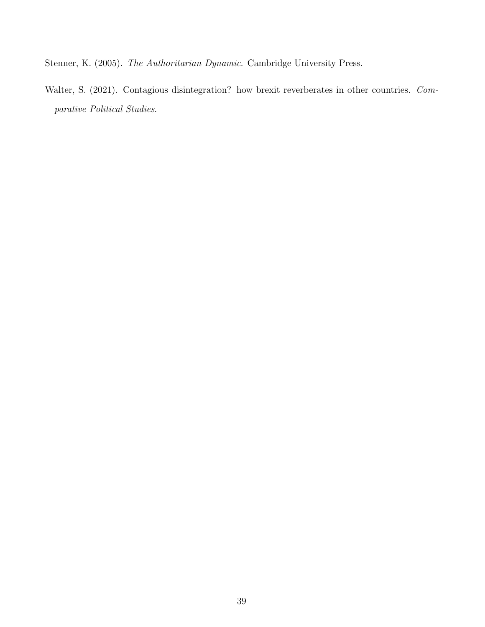Stenner, K. (2005). The Authoritarian Dynamic. Cambridge University Press.

Walter, S. (2021). Contagious disintegration? how brexit reverberates in other countries. Comparative Political Studies.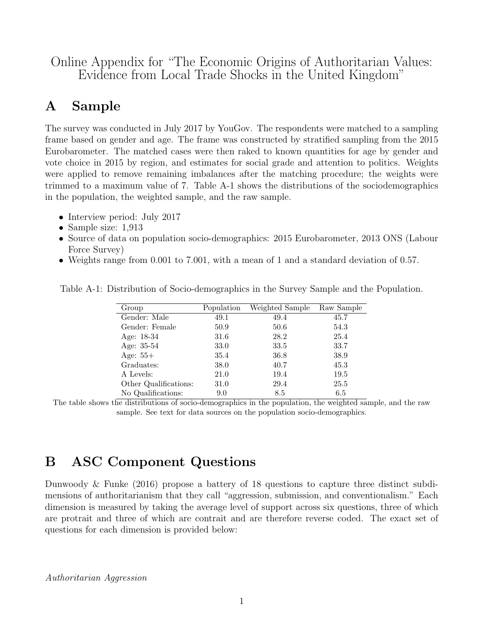Online Appendix for "The Economic Origins of Authoritarian Values: Evidence from Local Trade Shocks in the United Kingdom"

### A Sample

The survey was conducted in July 2017 by YouGov. The respondents were matched to a sampling frame based on gender and age. The frame was constructed by stratified sampling from the 2015 Eurobarometer. The matched cases were then raked to known quantities for age by gender and vote choice in 2015 by region, and estimates for social grade and attention to politics. Weights were applied to remove remaining imbalances after the matching procedure; the weights were trimmed to a maximum value of 7. Table A-1 shows the distributions of the sociodemographics in the population, the weighted sample, and the raw sample.

- Interview period: July 2017
- Sample size: 1,913
- Source of data on population socio-demographics: 2015 Eurobarometer, 2013 ONS (Labour Force Survey)
- Weights range from 0.001 to 7.001, with a mean of 1 and a standard deviation of 0.57.

| Group                                                                               | Population              | Weighted Sample      | Raw Sample                       |
|-------------------------------------------------------------------------------------|-------------------------|----------------------|----------------------------------|
| Gender: Male                                                                        | 49.1                    | 49.4                 | 45.7                             |
| Gender: Female                                                                      | 50.9                    | 50.6                 | 54.3                             |
| Age: 18-34                                                                          | 31.6                    | 28.2                 | 25.4                             |
| Age: 35-54                                                                          | 33.0                    | 33.5                 | 33.7                             |
| Age: $55+$                                                                          | 35.4                    | 36.8                 | 38.9                             |
| Graduates:                                                                          | 38.0                    | 40.7                 | 45.3                             |
| A Levels:                                                                           | 21.0                    | 19.4                 | 19.5                             |
| Other Qualifications:                                                               | 31.0                    | 29.4                 | 25.5                             |
| No Qualifications:<br>$\sim$<br>$\sim$ $\sim$ $\sim$ $\sim$ $\sim$ $\sim$<br>$\sim$ | 9.0<br>$\sim$<br>$\sim$ | 8.5<br>$\sim$ $\sim$ | 6.5<br>$\sim$ $\sim$<br>$\cdots$ |

Table A-1: Distribution of Socio-demographics in the Survey Sample and the Population.

The table shows the distributions of socio-demographics in the population, the weighted sample, and the raw sample. See text for data sources on the population socio-demographics.

### B ASC Component Questions

Dunwoody & Funke (2016) propose a battery of 18 questions to capture three distinct subdimensions of authoritarianism that they call "aggression, submission, and conventionalism." Each dimension is measured by taking the average level of support across six questions, three of which are protrait and three of which are contrait and are therefore reverse coded. The exact set of questions for each dimension is provided below:

Authoritarian Aggression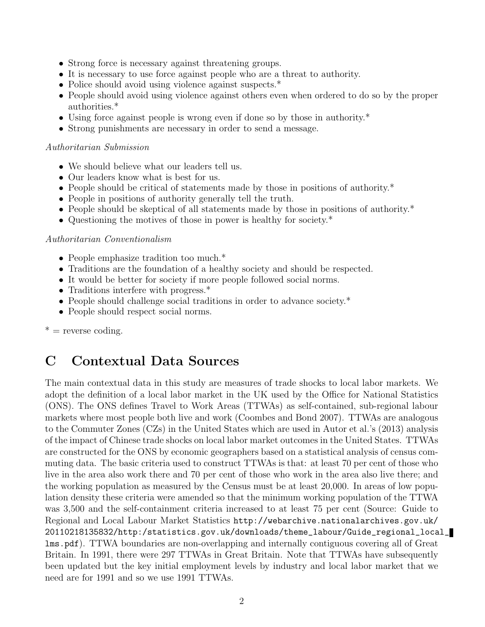- Strong force is necessary against threatening groups.
- It is necessary to use force against people who are a threat to authority.
- Police should avoid using violence against suspects.<sup>\*</sup>
- People should avoid using violence against others even when ordered to do so by the proper authorities.\*
- Using force against people is wrong even if done so by those in authority.<sup>\*</sup>
- Strong punishments are necessary in order to send a message.

#### Authoritarian Submission

- We should believe what our leaders tell us.
- Our leaders know what is best for us.
- People should be critical of statements made by those in positions of authority.<sup>\*</sup>
- People in positions of authority generally tell the truth.
- People should be skeptical of all statements made by those in positions of authority.\*
- Questioning the motives of those in power is healthy for society.\*

#### Authoritarian Conventionalism

- People emphasize tradition too much.<sup>\*</sup>
- Traditions are the foundation of a healthy society and should be respected.
- It would be better for society if more people followed social norms.
- Traditions interfere with progress.\*
- People should challenge social traditions in order to advance society.<sup>\*</sup>
- People should respect social norms.

 $*$  = reverse coding.

### C Contextual Data Sources

The main contextual data in this study are measures of trade shocks to local labor markets. We adopt the definition of a local labor market in the UK used by the Office for National Statistics (ONS). The ONS defines Travel to Work Areas (TTWAs) as self-contained, sub-regional labour markets where most people both live and work (Coombes and Bond 2007). TTWAs are analogous to the Commuter Zones (CZs) in the United States which are used in Autor et al.'s (2013) analysis of the impact of Chinese trade shocks on local labor market outcomes in the United States. TTWAs are constructed for the ONS by economic geographers based on a statistical analysis of census commuting data. The basic criteria used to construct TTWAs is that: at least 70 per cent of those who live in the area also work there and 70 per cent of those who work in the area also live there; and the working population as measured by the Census must be at least 20,000. In areas of low population density these criteria were amended so that the minimum working population of the TTWA was 3,500 and the self-containment criteria increased to at least 75 per cent (Source: Guide to Regional and Local Labour Market Statistics http://webarchive.nationalarchives.gov.uk/ 20110218135832/http:/statistics.gov.uk/downloads/theme\_labour/Guide\_regional\_local\_ lms.pdf). TTWA boundaries are non-overlapping and internally contiguous covering all of Great Britain. In 1991, there were 297 TTWAs in Great Britain. Note that TTWAs have subsequently been updated but the key initial employment levels by industry and local labor market that we need are for 1991 and so we use 1991 TTWAs.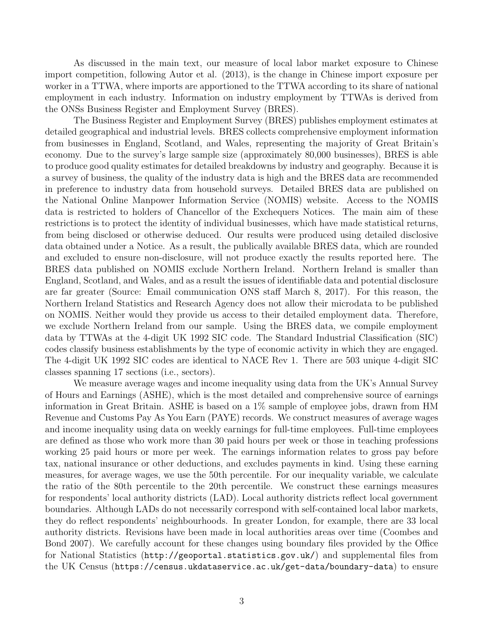As discussed in the main text, our measure of local labor market exposure to Chinese import competition, following Autor et al. (2013), is the change in Chinese import exposure per worker in a TTWA, where imports are apportioned to the TTWA according to its share of national employment in each industry. Information on industry employment by TTWAs is derived from the ONSs Business Register and Employment Survey (BRES).

The Business Register and Employment Survey (BRES) publishes employment estimates at detailed geographical and industrial levels. BRES collects comprehensive employment information from businesses in England, Scotland, and Wales, representing the majority of Great Britain's economy. Due to the survey's large sample size (approximately 80,000 businesses), BRES is able to produce good quality estimates for detailed breakdowns by industry and geography. Because it is a survey of business, the quality of the industry data is high and the BRES data are recommended in preference to industry data from household surveys. Detailed BRES data are published on the National Online Manpower Information Service (NOMIS) website. Access to the NOMIS data is restricted to holders of Chancellor of the Exchequers Notices. The main aim of these restrictions is to protect the identity of individual businesses, which have made statistical returns, from being disclosed or otherwise deduced. Our results were produced using detailed disclosive data obtained under a Notice. As a result, the publically available BRES data, which are rounded and excluded to ensure non-disclosure, will not produce exactly the results reported here. The BRES data published on NOMIS exclude Northern Ireland. Northern Ireland is smaller than England, Scotland, and Wales, and as a result the issues of identifiable data and potential disclosure are far greater (Source: Email communication ONS staff March 8, 2017). For this reason, the Northern Ireland Statistics and Research Agency does not allow their microdata to be published on NOMIS. Neither would they provide us access to their detailed employment data. Therefore, we exclude Northern Ireland from our sample. Using the BRES data, we compile employment data by TTWAs at the 4-digit UK 1992 SIC code. The Standard Industrial Classification (SIC) codes classify business establishments by the type of economic activity in which they are engaged. The 4-digit UK 1992 SIC codes are identical to NACE Rev 1. There are 503 unique 4-digit SIC classes spanning 17 sections (i.e., sectors).

We measure average wages and income inequality using data from the UK's Annual Survey of Hours and Earnings (ASHE), which is the most detailed and comprehensive source of earnings information in Great Britain. ASHE is based on a 1% sample of employee jobs, drawn from HM Revenue and Customs Pay As You Earn (PAYE) records. We construct measures of average wages and income inequality using data on weekly earnings for full-time employees. Full-time employees are defined as those who work more than 30 paid hours per week or those in teaching professions working 25 paid hours or more per week. The earnings information relates to gross pay before tax, national insurance or other deductions, and excludes payments in kind. Using these earning measures, for average wages, we use the 50th percentile. For our inequality variable, we calculate the ratio of the 80th percentile to the 20th percentile. We construct these earnings measures for respondents' local authority districts (LAD). Local authority districts reflect local government boundaries. Although LADs do not necessarily correspond with self-contained local labor markets, they do reflect respondents' neighbourhoods. In greater London, for example, there are 33 local authority districts. Revisions have been made in local authorities areas over time (Coombes and Bond 2007). We carefully account for these changes using boundary files provided by the Office for National Statistics (http://geoportal.statistics.gov.uk/) and supplemental files from the UK Census (https://census.ukdataservice.ac.uk/get-data/boundary-data) to ensure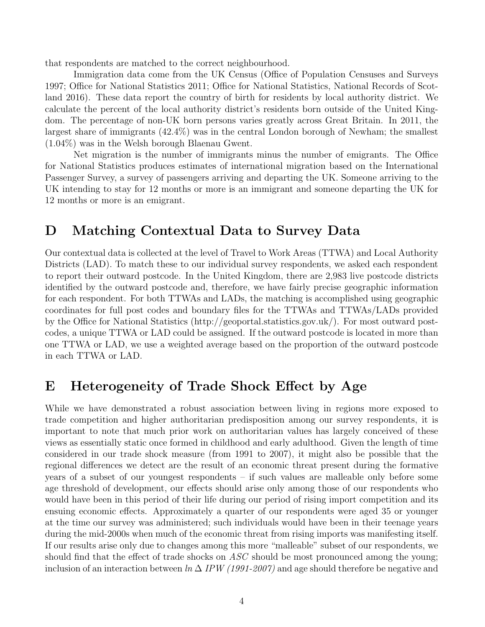that respondents are matched to the correct neighbourhood.

Immigration data come from the UK Census (Office of Population Censuses and Surveys 1997; Office for National Statistics 2011; Office for National Statistics, National Records of Scotland 2016). These data report the country of birth for residents by local authority district. We calculate the percent of the local authority district's residents born outside of the United Kingdom. The percentage of non-UK born persons varies greatly across Great Britain. In 2011, the largest share of immigrants (42.4%) was in the central London borough of Newham; the smallest (1.04%) was in the Welsh borough Blaenau Gwent.

Net migration is the number of immigrants minus the number of emigrants. The Office for National Statistics produces estimates of international migration based on the International Passenger Survey, a survey of passengers arriving and departing the UK. Someone arriving to the UK intending to stay for 12 months or more is an immigrant and someone departing the UK for 12 months or more is an emigrant.

#### D Matching Contextual Data to Survey Data

Our contextual data is collected at the level of Travel to Work Areas (TTWA) and Local Authority Districts (LAD). To match these to our individual survey respondents, we asked each respondent to report their outward postcode. In the United Kingdom, there are 2,983 live postcode districts identified by the outward postcode and, therefore, we have fairly precise geographic information for each respondent. For both TTWAs and LADs, the matching is accomplished using geographic coordinates for full post codes and boundary files for the TTWAs and TTWAs/LADs provided by the Office for National Statistics (http://geoportal.statistics.gov.uk/). For most outward postcodes, a unique TTWA or LAD could be assigned. If the outward postcode is located in more than one TTWA or LAD, we use a weighted average based on the proportion of the outward postcode in each TTWA or LAD.

### E Heterogeneity of Trade Shock Effect by Age

While we have demonstrated a robust association between living in regions more exposed to trade competition and higher authoritarian predisposition among our survey respondents, it is important to note that much prior work on authoritarian values has largely conceived of these views as essentially static once formed in childhood and early adulthood. Given the length of time considered in our trade shock measure (from 1991 to 2007), it might also be possible that the regional differences we detect are the result of an economic threat present during the formative years of a subset of our youngest respondents – if such values are malleable only before some age threshold of development, our effects should arise only among those of our respondents who would have been in this period of their life during our period of rising import competition and its ensuing economic effects. Approximately a quarter of our respondents were aged 35 or younger at the time our survey was administered; such individuals would have been in their teenage years during the mid-2000s when much of the economic threat from rising imports was manifesting itself. If our results arise only due to changes among this more "malleable" subset of our respondents, we should find that the effect of trade shocks on ASC should be most pronounced among the young; inclusion of an interaction between  $\ln \Delta IPW$  (1991-2007) and age should therefore be negative and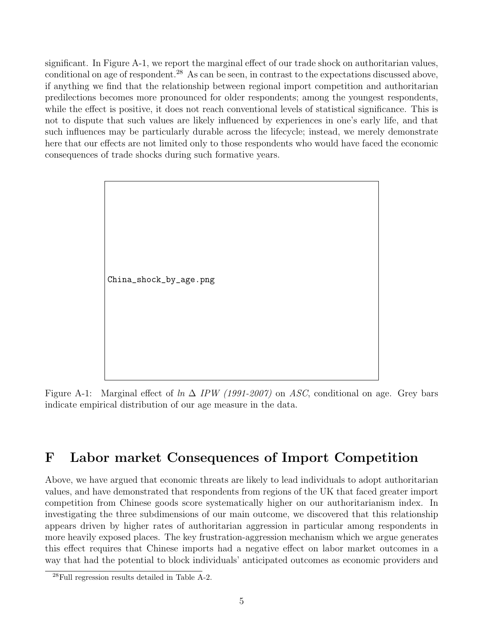significant. In Figure A-1, we report the marginal effect of our trade shock on authoritarian values, conditional on age of respondent.<sup>28</sup> As can be seen, in contrast to the expectations discussed above, if anything we find that the relationship between regional import competition and authoritarian predilections becomes more pronounced for older respondents; among the youngest respondents, while the effect is positive, it does not reach conventional levels of statistical significance. This is not to dispute that such values are likely influenced by experiences in one's early life, and that such influences may be particularly durable across the lifecycle; instead, we merely demonstrate here that our effects are not limited only to those respondents who would have faced the economic consequences of trade shocks during such formative years.

China\_shock\_by\_age.png

Figure A-1: Marginal effect of  $\ln \Delta$  IPW (1991-2007) on ASC, conditional on age. Grey bars indicate empirical distribution of our age measure in the data.

### F Labor market Consequences of Import Competition

Above, we have argued that economic threats are likely to lead individuals to adopt authoritarian values, and have demonstrated that respondents from regions of the UK that faced greater import competition from Chinese goods score systematically higher on our authoritarianism index. In investigating the three subdimensions of our main outcome, we discovered that this relationship appears driven by higher rates of authoritarian aggression in particular among respondents in more heavily exposed places. The key frustration-aggression mechanism which we argue generates this effect requires that Chinese imports had a negative effect on labor market outcomes in a way that had the potential to block individuals' anticipated outcomes as economic providers and

<sup>28</sup>Full regression results detailed in Table A-2.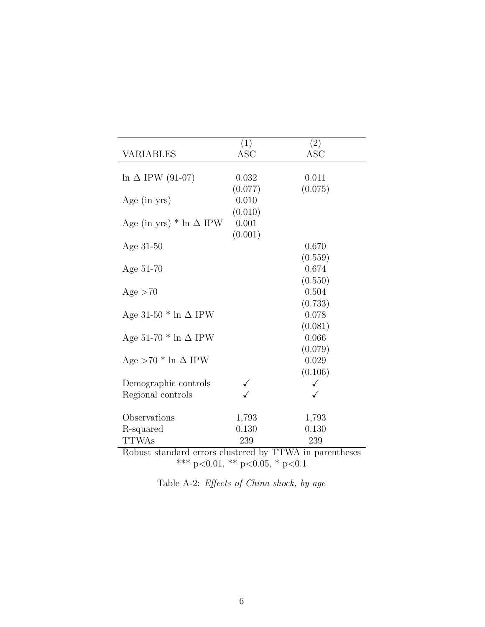|                                                         | (1)        | (2)        |  |  |  |  |
|---------------------------------------------------------|------------|------------|--|--|--|--|
| VARIABLES                                               | <b>ASC</b> | <b>ASC</b> |  |  |  |  |
|                                                         |            |            |  |  |  |  |
| $\ln \Delta$ IPW (91-07)                                | 0.032      | 0.011      |  |  |  |  |
|                                                         | (0.077)    | (0.075)    |  |  |  |  |
| Age $(in yrs)$                                          | 0.010      |            |  |  |  |  |
|                                                         | (0.010)    |            |  |  |  |  |
| Age (in yrs) $*$ ln $\Delta$ IPW                        | 0.001      |            |  |  |  |  |
|                                                         | (0.001)    |            |  |  |  |  |
| Age 31-50                                               |            | 0.670      |  |  |  |  |
|                                                         |            | (0.559)    |  |  |  |  |
| Age 51-70                                               |            | 0.674      |  |  |  |  |
|                                                         |            | (0.550)    |  |  |  |  |
| Age > 70                                                |            | 0.504      |  |  |  |  |
|                                                         |            | (0.733)    |  |  |  |  |
| Age 31-50 $*$ ln $\Delta$ IPW                           |            | 0.078      |  |  |  |  |
|                                                         |            | (0.081)    |  |  |  |  |
| Age 51-70 $*$ ln $\Delta$ IPW                           |            | 0.066      |  |  |  |  |
|                                                         |            | (0.079)    |  |  |  |  |
| Age $>70$ * ln $\Delta$ IPW                             |            | 0.029      |  |  |  |  |
|                                                         |            | (0.106)    |  |  |  |  |
| Demographic controls                                    |            | ✓          |  |  |  |  |
| Regional controls                                       |            |            |  |  |  |  |
|                                                         |            |            |  |  |  |  |
| Observations                                            | 1,793      | 1,793      |  |  |  |  |
| R-squared                                               | 0.130      | 0.130      |  |  |  |  |
| <b>TTWAs</b>                                            | 239        | 239        |  |  |  |  |
| Robust standard errors clustered by TTWA in parentheses |            |            |  |  |  |  |

\*\*\* p<0.01, \*\* p<0.05, \* p<0.1

| Table A-2: <i>Effects of China shock</i> , by age |  |  |  |  |
|---------------------------------------------------|--|--|--|--|
|                                                   |  |  |  |  |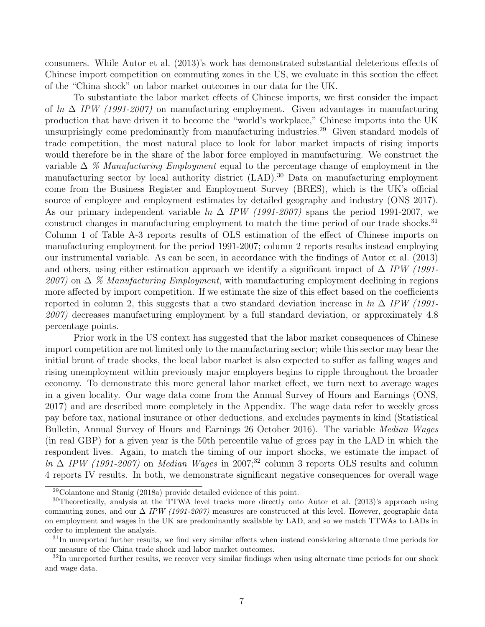consumers. While Autor et al. (2013)'s work has demonstrated substantial deleterious effects of Chinese import competition on commuting zones in the US, we evaluate in this section the effect of the "China shock" on labor market outcomes in our data for the UK.

To substantiate the labor market effects of Chinese imports, we first consider the impact of ln  $\Delta$  IPW (1991-2007) on manufacturing employment. Given advantages in manufacturing production that have driven it to become the "world's workplace," Chinese imports into the UK unsurprisingly come predominantly from manufacturing industries.<sup>29</sup> Given standard models of trade competition, the most natural place to look for labor market impacts of rising imports would therefore be in the share of the labor force employed in manufacturing. We construct the variable  $\Delta \%$  Manufacturing Employment equal to the percentage change of employment in the manufacturing sector by local authority district (LAD).<sup>30</sup> Data on manufacturing employment come from the Business Register and Employment Survey (BRES), which is the UK's official source of employee and employment estimates by detailed geography and industry (ONS 2017). As our primary independent variable  $\ln \Delta$  IPW (1991-2007) spans the period 1991-2007, we construct changes in manufacturing employment to match the time period of our trade shocks.<sup>31</sup> Column 1 of Table A-3 reports results of OLS estimation of the effect of Chinese imports on manufacturing employment for the period 1991-2007; column 2 reports results instead employing our instrumental variable. As can be seen, in accordance with the findings of Autor et al. (2013) and others, using either estimation approach we identify a significant impact of  $\Delta$  IPW (1991-2007) on  $\Delta$  % Manufacturing Employment, with manufacturing employment declining in regions more affected by import competition. If we estimate the size of this effect based on the coefficients reported in column 2, this suggests that a two standard deviation increase in  $ln \Delta IPW$  (1991-2007) decreases manufacturing employment by a full standard deviation, or approximately 4.8 percentage points.

Prior work in the US context has suggested that the labor market consequences of Chinese import competition are not limited only to the manufacturing sector; while this sector may bear the initial brunt of trade shocks, the local labor market is also expected to suffer as falling wages and rising unemployment within previously major employers begins to ripple throughout the broader economy. To demonstrate this more general labor market effect, we turn next to average wages in a given locality. Our wage data come from the Annual Survey of Hours and Earnings (ONS, 2017) and are described more completely in the Appendix. The wage data refer to weekly gross pay before tax, national insurance or other deductions, and excludes payments in kind (Statistical Bulletin, Annual Survey of Hours and Earnings 26 October 2016). The variable *Median Wages* (in real GBP) for a given year is the 50th percentile value of gross pay in the LAD in which the respondent lives. Again, to match the timing of our import shocks, we estimate the impact of ln  $\Delta$  IPW (1991-2007) on Median Wages in 2007;<sup>32</sup> column 3 reports OLS results and column 4 reports IV results. In both, we demonstrate significant negative consequences for overall wage

<sup>29</sup>Colantone and Stanig (2018a) provide detailed evidence of this point.

<sup>30</sup>Theoretically, analysis at the TTWA level tracks more directly onto Autor et al. (2013)'s approach using commuting zones, and our  $\Delta$  IPW (1991-2007) measures are constructed at this level. However, geographic data on employment and wages in the UK are predominantly available by LAD, and so we match TTWAs to LADs in order to implement the analysis.

 $31$ In unreported further results, we find very similar effects when instead considering alternate time periods for our measure of the China trade shock and labor market outcomes.

 $32$ In unreported further results, we recover very similar findings when using alternate time periods for our shock and wage data.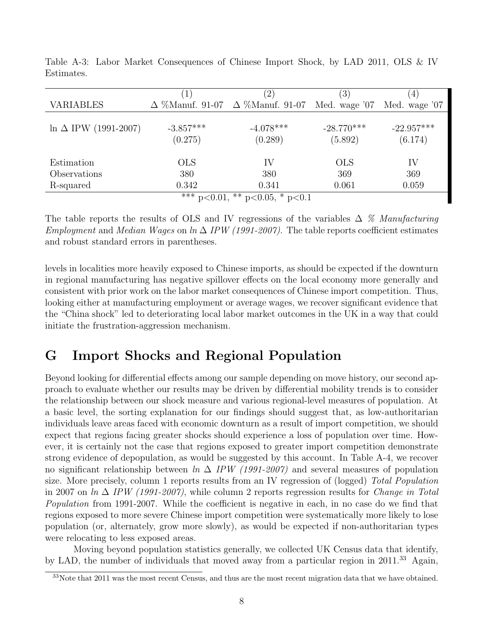|                                                 |             | $^{\prime}2)$                                               | $\left(3\right)$ | $\vert 4 \vert$ |  |  |
|-------------------------------------------------|-------------|-------------------------------------------------------------|------------------|-----------------|--|--|
| <b>VARIABLES</b>                                |             | $\Delta$ %Manuf. 91-07 $\Delta$ %Manuf. 91-07 Med. wage '07 |                  | Med. wage '07   |  |  |
|                                                 |             |                                                             |                  |                 |  |  |
| $\ln \Delta$ IPW (1991-2007)                    | $-3.857***$ | $-4.078***$                                                 | $-28.770***$     | $-22.957***$    |  |  |
|                                                 | (0.275)     | (0.289)                                                     | (5.892)          | (6.174)         |  |  |
|                                                 |             |                                                             |                  |                 |  |  |
| Estimation                                      | <b>OLS</b>  | IV                                                          | <b>OLS</b>       | IV              |  |  |
| Observations                                    | 380         | 380                                                         | 369              | 369             |  |  |
| R-squared                                       | 0.342       | 0.341                                                       | 0.061            | 0.059           |  |  |
| $\sqrt{***}$ p<0.01,<br>** $p<0.05$ , * $p<0.1$ |             |                                                             |                  |                 |  |  |

Table A-3: Labor Market Consequences of Chinese Import Shock, by LAD 2011, OLS & IV Estimates.

The table reports the results of OLS and IV regressions of the variables  $\Delta$  % Manufacturing Employment and Median Wages on ln  $\Delta$  IPW (1991-2007). The table reports coefficient estimates and robust standard errors in parentheses.

levels in localities more heavily exposed to Chinese imports, as should be expected if the downturn in regional manufacturing has negative spillover effects on the local economy more generally and consistent with prior work on the labor market consequences of Chinese import competition. Thus, looking either at manufacturing employment or average wages, we recover significant evidence that the "China shock" led to deteriorating local labor market outcomes in the UK in a way that could initiate the frustration-aggression mechanism.

### G Import Shocks and Regional Population

Beyond looking for differential effects among our sample depending on move history, our second approach to evaluate whether our results may be driven by differential mobility trends is to consider the relationship between our shock measure and various regional-level measures of population. At a basic level, the sorting explanation for our findings should suggest that, as low-authoritarian individuals leave areas faced with economic downturn as a result of import competition, we should expect that regions facing greater shocks should experience a loss of population over time. However, it is certainly not the case that regions exposed to greater import competition demonstrate strong evidence of depopulation, as would be suggested by this account. In Table A-4, we recover no significant relationship between  $ln \Delta$  IPW (1991-2007) and several measures of population size. More precisely, column 1 reports results from an IV regression of (logged) Total Population in 2007 on ln  $\Delta$  IPW (1991-2007), while column 2 reports regression results for *Change in Total* Population from 1991-2007. While the coefficient is negative in each, in no case do we find that regions exposed to more severe Chinese import competition were systematically more likely to lose population (or, alternately, grow more slowly), as would be expected if non-authoritarian types were relocating to less exposed areas.

Moving beyond population statistics generally, we collected UK Census data that identify, by LAD, the number of individuals that moved away from a particular region in 2011.<sup>33</sup> Again,

 $33$ Note that  $2011$  was the most recent Census, and thus are the most recent migration data that we have obtained.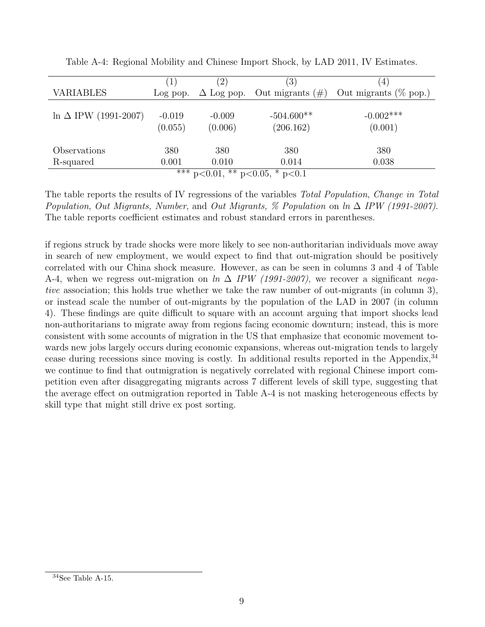|                                                      |                     | (2)                 | $\left(3\right)$                   | 4                         |  |  |
|------------------------------------------------------|---------------------|---------------------|------------------------------------|---------------------------|--|--|
| <b>VARIABLES</b>                                     | Log pop.            |                     | $\Delta$ Log pop. Out migrants (#) | Out migrants ( $\%$ pop.) |  |  |
| $\ln \Delta$ IPW (1991-2007)                         | $-0.019$<br>(0.055) | $-0.009$<br>(0.006) | $-504.600**$<br>(206.162)          | $-0.002***$<br>(0.001)    |  |  |
| Observations                                         | 380                 | 380                 | 380                                | 380                       |  |  |
| R-squared                                            | 0.001               | 0.010               | 0.014                              | 0.038                     |  |  |
| $\overline{**}$ p < 0.01,<br>** $p<0.05$ , * $p<0.1$ |                     |                     |                                    |                           |  |  |

Table A-4: Regional Mobility and Chinese Import Shock, by LAD 2011, IV Estimates.

The table reports the results of IV regressions of the variables Total Population, Change in Total Population, Out Migrants, Number, and Out Migrants, % Population on  $\ln \Delta$  IPW (1991-2007). The table reports coefficient estimates and robust standard errors in parentheses.

if regions struck by trade shocks were more likely to see non-authoritarian individuals move away in search of new employment, we would expect to find that out-migration should be positively correlated with our China shock measure. However, as can be seen in columns 3 and 4 of Table A-4, when we regress out-migration on  $\ln \Delta$  IPW (1991-2007), we recover a significant negative association; this holds true whether we take the raw number of out-migrants (in column 3), or instead scale the number of out-migrants by the population of the LAD in 2007 (in column 4). These findings are quite difficult to square with an account arguing that import shocks lead non-authoritarians to migrate away from regions facing economic downturn; instead, this is more consistent with some accounts of migration in the US that emphasize that economic movement towards new jobs largely occurs during economic expansions, whereas out-migration tends to largely cease during recessions since moving is costly. In additional results reported in the Appendix,<sup>34</sup> we continue to find that outmigration is negatively correlated with regional Chinese import competition even after disaggregating migrants across 7 different levels of skill type, suggesting that the average effect on outmigration reported in Table A-4 is not masking heterogeneous effects by skill type that might still drive ex post sorting.

 $34$  See Table A-15.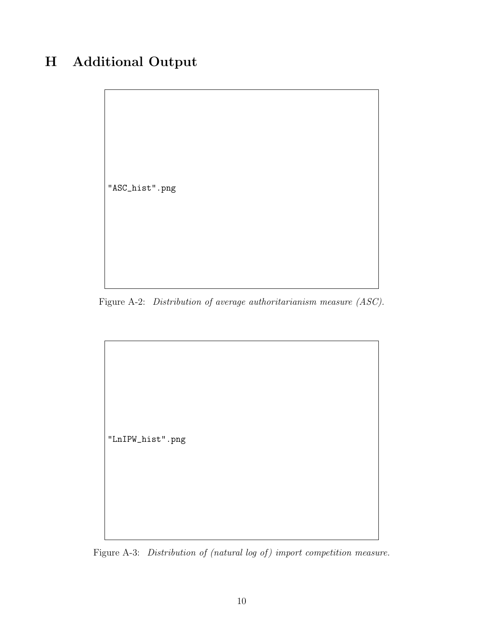## H Additional Output



Figure A-2: Distribution of average authoritarianism measure (ASC).

"LnIPW\_hist".png

Figure A-3: Distribution of (natural log of) import competition measure.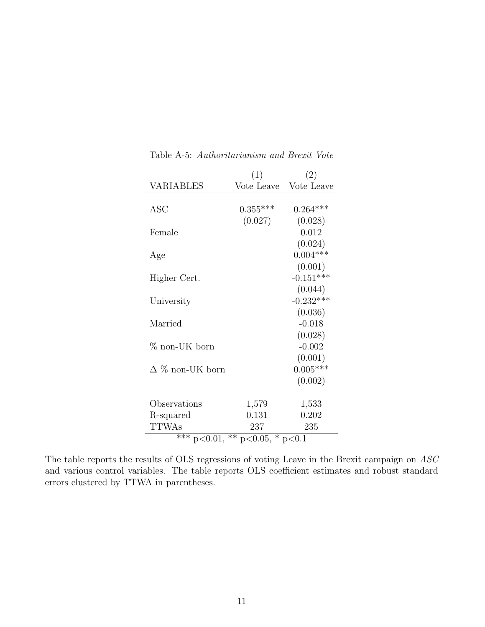|                                                 | (1)        | (2)         |  |  |  |  |  |
|-------------------------------------------------|------------|-------------|--|--|--|--|--|
| VARIABLES                                       | Vote Leave | Vote Leave  |  |  |  |  |  |
|                                                 |            |             |  |  |  |  |  |
| ASC                                             | $0.355***$ | $0.264***$  |  |  |  |  |  |
|                                                 | (0.027)    | (0.028)     |  |  |  |  |  |
| Female                                          |            | 0.012       |  |  |  |  |  |
|                                                 |            | (0.024)     |  |  |  |  |  |
| Age                                             |            | $0.004***$  |  |  |  |  |  |
|                                                 |            | (0.001)     |  |  |  |  |  |
| Higher Cert.                                    |            | $-0.151***$ |  |  |  |  |  |
|                                                 |            | (0.044)     |  |  |  |  |  |
| University                                      |            | $-0.232***$ |  |  |  |  |  |
|                                                 |            | (0.036)     |  |  |  |  |  |
| Married                                         |            | $-0.018$    |  |  |  |  |  |
|                                                 |            | (0.028)     |  |  |  |  |  |
| $\%$ non-UK born                                |            | $-0.002$    |  |  |  |  |  |
|                                                 |            | (0.001)     |  |  |  |  |  |
| $\Delta$ % non-UK born                          |            | $0.005***$  |  |  |  |  |  |
|                                                 |            | (0.002)     |  |  |  |  |  |
|                                                 |            |             |  |  |  |  |  |
| Observations                                    | 1,579      | 1,533       |  |  |  |  |  |
| R-squared                                       | 0.131      | 0.202       |  |  |  |  |  |
| <b>TTWAs</b>                                    | 237        | 235         |  |  |  |  |  |
| ** $p<0.05$ , * $p<0.1$<br>$\sqrt{***}$ p<0.01, |            |             |  |  |  |  |  |

Table A-5: Authoritarianism and Brexit Vote

The table reports the results of OLS regressions of voting Leave in the Brexit campaign on  $ASC$ and various control variables. The table reports OLS coefficient estimates and robust standard errors clustered by TTWA in parentheses.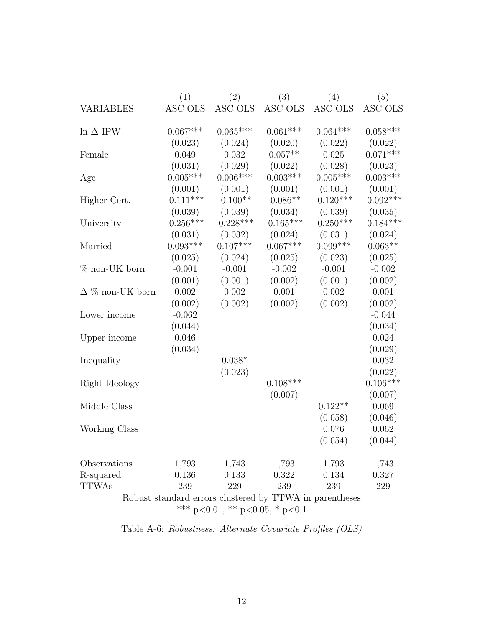|                         | (1)         | (2)         | $\overline{(3)}$ | (4)         | (5)         |
|-------------------------|-------------|-------------|------------------|-------------|-------------|
| <b>VARIABLES</b>        | ASC OLS     | ASC OLS     | ASC OLS          | ASC OLS     | ASC OLS     |
|                         |             |             |                  |             |             |
| $\ln \Delta$ IPW        | $0.067***$  | $0.065***$  | $0.061***$       | $0.064***$  | $0.058***$  |
|                         | (0.023)     | (0.024)     | (0.020)          | (0.022)     | (0.022)     |
| Female                  | 0.049       | 0.032       | $0.057**$        | 0.025       | $0.071***$  |
|                         | (0.031)     | (0.029)     | (0.022)          | (0.028)     | (0.023)     |
| Age                     | $0.005***$  | $0.006***$  | $0.003***$       | $0.005***$  | $0.003***$  |
|                         | (0.001)     | (0.001)     | (0.001)          | (0.001)     | (0.001)     |
| Higher Cert.            | $-0.111***$ | $-0.100**$  | $-0.086**$       | $-0.120***$ | $-0.092***$ |
|                         | (0.039)     | (0.039)     | (0.034)          | (0.039)     | (0.035)     |
| University              | $-0.256***$ | $-0.228***$ | $-0.165***$      | $-0.250***$ | $-0.184***$ |
|                         | (0.031)     | (0.032)     | (0.024)          | (0.031)     | (0.024)     |
| Married                 | $0.093***$  | $0.107***$  | $0.067***$       | $0.099***$  | $0.063**$   |
|                         | (0.025)     | (0.024)     | (0.025)          | (0.023)     | (0.025)     |
| $%$ non-UK born         | $-0.001$    | $-0.001$    | $-0.002$         | $-0.001$    | $-0.002$    |
|                         | (0.001)     | (0.001)     | (0.002)          | (0.001)     | (0.002)     |
| $\Delta \%$ non-UK born | 0.002       | 0.002       | 0.001            | 0.002       | 0.001       |
|                         | (0.002)     | (0.002)     | (0.002)          | (0.002)     | (0.002)     |
| Lower income            | $-0.062$    |             |                  |             | $-0.044$    |
|                         | (0.044)     |             |                  |             | (0.034)     |
| Upper income            | 0.046       |             |                  |             | 0.024       |
|                         | (0.034)     |             |                  |             | (0.029)     |
| Inequality              |             | $0.038*$    |                  |             | 0.032       |
|                         |             | (0.023)     |                  |             | (0.022)     |
| Right Ideology          |             |             | $0.108***$       |             | $0.106***$  |
|                         |             |             | (0.007)          |             | (0.007)     |
| Middle Class            |             |             |                  | $0.122**$   | 0.069       |
|                         |             |             |                  | (0.058)     | (0.046)     |
| Working Class           |             |             |                  | 0.076       | 0.062       |
|                         |             |             |                  | (0.054)     | (0.044)     |
| Observations            | 1,793       | 1,743       | 1,793            | 1,793       | 1,743       |
| R-squared               | 0.136       | 0.133       | 0.322            | 0.134       | 0.327       |
| <b>TTWAs</b>            | 239         | 229         | 239              | 239         | 229         |
|                         |             |             | max11            |             |             |

Robust standard errors clustered by TTWA in parentheses \*\*\* p<0.01, \*\* p<0.05, \* p<0.1

Table A-6: Robustness: Alternate Covariate Profiles (OLS)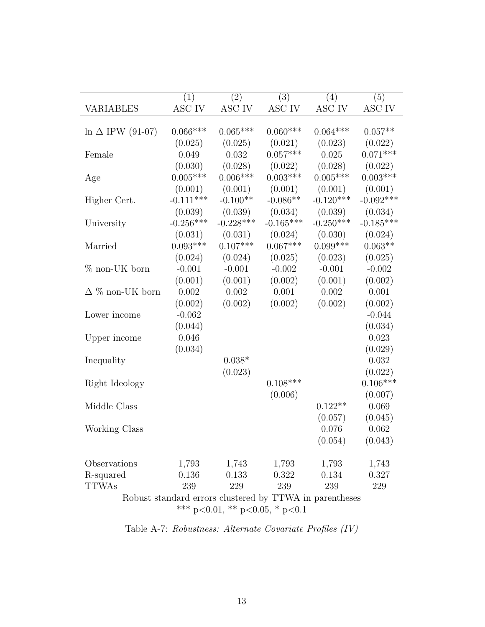|                          | (1)         | (2)         | (3)         | (4)         | (5)         |
|--------------------------|-------------|-------------|-------------|-------------|-------------|
| VARIABLES                | ASC IV      | ASC IV      | ASC IV      | ASC IV      | ASC IV      |
|                          |             |             |             |             |             |
| $\ln \Delta$ IPW (91-07) | $0.066***$  | $0.065***$  | $0.060***$  | $0.064***$  | $0.057**$   |
|                          | (0.025)     | (0.025)     | (0.021)     | (0.023)     | (0.022)     |
| Female                   | 0.049       | 0.032       | $0.057***$  | 0.025       | $0.071***$  |
|                          | (0.030)     | (0.028)     | (0.022)     | (0.028)     | (0.022)     |
| Age                      | $0.005***$  | $0.006***$  | $0.003***$  | $0.005***$  | $0.003***$  |
|                          | (0.001)     | (0.001)     | (0.001)     | (0.001)     | (0.001)     |
| Higher Cert.             | $-0.111***$ | $-0.100**$  | $-0.086**$  | $-0.120***$ | $-0.092***$ |
|                          | (0.039)     | (0.039)     | (0.034)     | (0.039)     | (0.034)     |
| University               | $-0.256***$ | $-0.228***$ | $-0.165***$ | $-0.250***$ | $-0.185***$ |
|                          | (0.031)     | (0.031)     | (0.024)     | (0.030)     | (0.024)     |
| Married                  | $0.093***$  | $0.107***$  | $0.067***$  | $0.099***$  | $0.063**$   |
|                          | (0.024)     | (0.024)     | (0.025)     | (0.023)     | (0.025)     |
| $\%$ non-UK born         | $-0.001$    | $-0.001$    | $-0.002$    | $-0.001$    | $-0.002$    |
|                          | (0.001)     | (0.001)     | (0.002)     | (0.001)     | (0.002)     |
| $\Delta \%$ non-UK born  | 0.002       | 0.002       | 0.001       | 0.002       | 0.001       |
|                          | (0.002)     | (0.002)     | (0.002)     | (0.002)     | (0.002)     |
| Lower income             | $-0.062$    |             |             |             | $-0.044$    |
|                          | (0.044)     |             |             |             | (0.034)     |
| Upper income             | 0.046       |             |             |             | 0.023       |
|                          | (0.034)     |             |             |             | (0.029)     |
| Inequality               |             | $0.038*$    |             |             | 0.032       |
|                          |             | (0.023)     |             |             | (0.022)     |
| Right Ideology           |             |             | $0.108***$  |             | $0.106***$  |
|                          |             |             | (0.006)     |             | (0.007)     |
| Middle Class             |             |             |             | $0.122**$   | 0.069       |
|                          |             |             |             | (0.057)     | (0.045)     |
| Working Class            |             |             |             | 0.076       | 0.062       |
|                          |             |             |             | (0.054)     | (0.043)     |
| Observations             | 1,793       | 1,743       | 1,793       | 1,793       | 1,743       |
| R-squared                | 0.136       | 0.133       | 0.322       | 0.134       | 0.327       |
| <b>TTWAs</b>             | 239         | 229         | 239         | 239         | 229         |
|                          |             |             |             |             |             |

Robust standard errors clustered by TTWA in parentheses \*\*\* p<0.01, \*\* p<0.05, \* p<0.1

Table A-7: Robustness: Alternate Covariate Profiles (IV)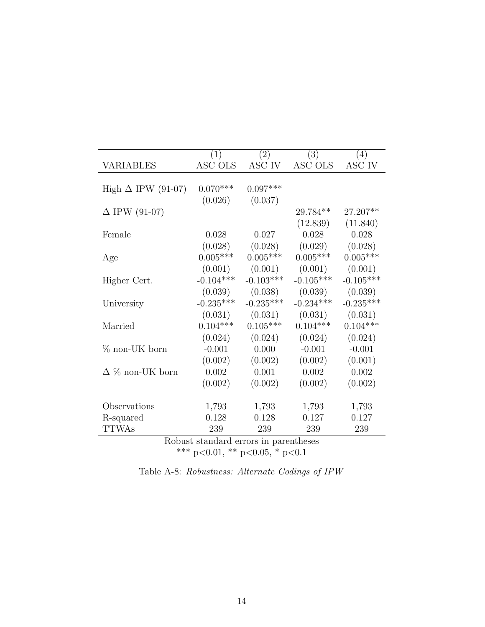|                           | (1)                                   | $\bar{2})$  | (3)         | (4)         |
|---------------------------|---------------------------------------|-------------|-------------|-------------|
| VARIABLES                 | ASC OLS                               | ASC IV      | ASC OLS     | ASC IV      |
|                           |                                       |             |             |             |
| High $\Delta$ IPW (91-07) | $0.070***$                            | $0.097***$  |             |             |
|                           | (0.026)                               | (0.037)     |             |             |
| $\Delta$ IPW (91-07)      |                                       |             | 29.784**    | 27.207**    |
|                           |                                       |             | (12.839)    | (11.840)    |
| Female                    | 0.028                                 | 0.027       | 0.028       | 0.028       |
|                           | (0.028)                               | (0.028)     | (0.029)     | (0.028)     |
| Age                       | $0.005***$                            | $0.005***$  | $0.005***$  | $0.005***$  |
|                           | (0.001)                               | (0.001)     | (0.001)     | (0.001)     |
| Higher Cert.              | $-0.104***$                           | $-0.103***$ | $-0.105***$ | $-0.105***$ |
|                           | (0.039)                               | (0.038)     | (0.039)     | (0.039)     |
| University                | $-0.235***$                           | $-0.235***$ | $-0.234***$ | $-0.235***$ |
|                           | (0.031)                               | (0.031)     | (0.031)     | (0.031)     |
| Married                   | $0.104***$                            | $0.105***$  | $0.104***$  | $0.104***$  |
|                           | (0.024)                               | (0.024)     | (0.024)     | (0.024)     |
| $%$ non-UK born           | $-0.001$                              | 0.000       | $-0.001$    | $-0.001$    |
|                           | (0.002)                               | (0.002)     | (0.002)     | (0.001)     |
| $\Delta$ % non-UK born    | $0.002\,$                             | 0.001       | $0.002\,$   | 0.002       |
|                           | (0.002)                               | (0.002)     | (0.002)     | (0.002)     |
|                           |                                       |             |             |             |
| Observations              | 1,793                                 | 1,793       | 1,793       | 1,793       |
| R-squared                 | 0.128                                 | 0.128       | 0.127       | 0.127       |
| <b>TTWAs</b>              | 239                                   | 239         | 239         | 239         |
|                           | Robust standard errors in parentheses |             |             |             |

Robust standard errors in parentheses \*\*\* p<0.01, \*\* p<0.05, \* p<0.1

|  | Table A-8: Robustness: Alternate Codings of IPW |  |  |
|--|-------------------------------------------------|--|--|
|  |                                                 |  |  |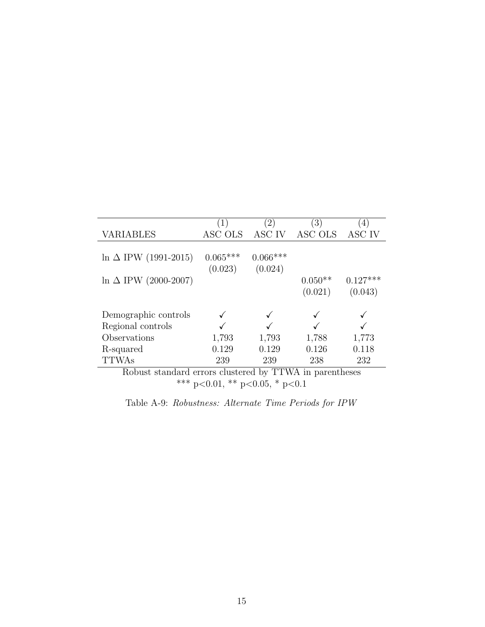|                                                                   |            | $\left(2\right)$        | $\left(3\right)$ | $ 4\rangle$ |
|-------------------------------------------------------------------|------------|-------------------------|------------------|-------------|
| VARIABLES                                                         | ASC OLS    | ASC IV                  | ASC OLS          | ASC IV      |
|                                                                   |            |                         |                  |             |
| $\ln \Delta$ IPW (1991-2015)                                      | $0.065***$ | $0.066***$              |                  |             |
|                                                                   | (0.023)    | (0.024)                 |                  |             |
| $\ln \Delta$ IPW (2000-2007)                                      |            |                         | $0.050**$        | $0.127***$  |
|                                                                   |            |                         | (0.021)          | (0.043)     |
|                                                                   |            |                         |                  |             |
| Demographic controls                                              |            |                         |                  |             |
| Regional controls                                                 |            |                         |                  |             |
| Observations                                                      | 1,793      | 1,793                   | 1,788            | 1,773       |
| R-squared                                                         | 0.129      | 0.129                   | 0.126            | 0.118       |
| <b>TTWAs</b>                                                      | 239        | 239                     | 238              | 232         |
| $\mathbf{L}$<br>י הד<br>п.<br>the contract of the contract of the |            | <b>1 1</b><br>T T T T T | . .              |             |

Robust standard errors clustered by TTWA in parentheses \*\*\* p<0.01, \*\* p<0.05, \* p<0.1

Table A-9: Robustness: Alternate Time Periods for IPW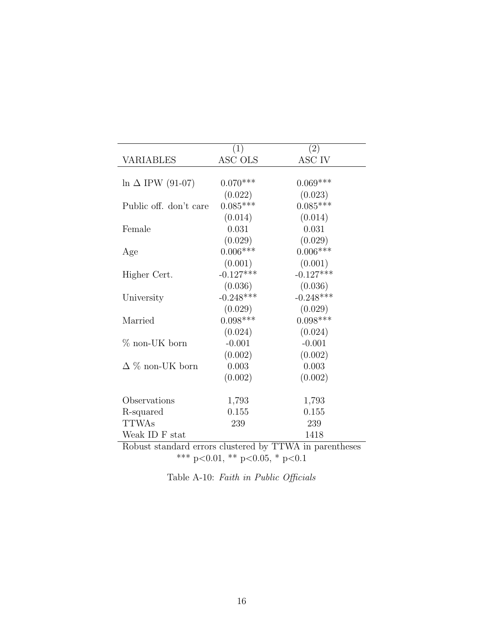|                          | (1)         | (2)         |
|--------------------------|-------------|-------------|
| VARIABLES                | ASC OLS     | ASC IV      |
| $\ln \Delta$ IPW (91-07) | $0.070***$  | $0.069***$  |
|                          | (0.022)     | (0.023)     |
| Public off. don't care   | $0.085***$  | $0.085***$  |
|                          | (0.014)     | (0.014)     |
| Female                   | 0.031       | 0.031       |
|                          | (0.029)     | (0.029)     |
| Age                      | $0.006***$  | $0.006***$  |
|                          | (0.001)     | (0.001)     |
| Higher Cert.             | $-0.127***$ | $-0.127***$ |
|                          | (0.036)     | (0.036)     |
| University               | $-0.248***$ | $-0.248***$ |
|                          | (0.029)     | (0.029)     |
| Married                  | $0.098***$  | $0.098***$  |
|                          | (0.024)     | (0.024)     |
| $%$ non-UK born          | $-0.001$    | $-0.001$    |
|                          | (0.002)     | (0.002)     |
| $\Delta \%$ non-UK born  | 0.003       | 0.003       |
|                          | (0.002)     | (0.002)     |
| Observations             | 1,793       | 1,793       |
| R-squared                | 0.155       | 0.155       |
| <b>TTWAs</b>             | 239         | 239         |
| Weak ID F stat           |             | 1418        |

Robust standard errors clustered by TTWA in parentheses \*\*\* p<0.01, \*\* p<0.05, \* p<0.1

| Table A-10: Faith in Public Officials |  |  |  |
|---------------------------------------|--|--|--|
|---------------------------------------|--|--|--|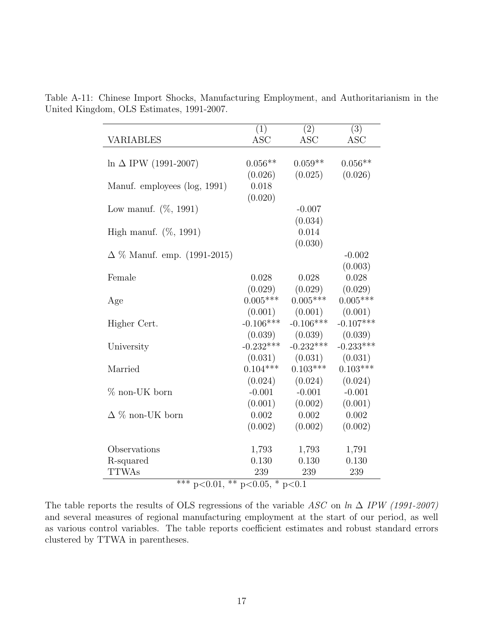| VARIABLES                                                   | (1)                         | (2)                 | (3)                 |
|-------------------------------------------------------------|-----------------------------|---------------------|---------------------|
|                                                             | <b>ASC</b>                  | <b>ASC</b>          | <b>ASC</b>          |
| $\ln \Delta$ IPW (1991-2007)                                | $0.056**$                   | $0.059**$           | $0.056**$           |
| Manuf. employees (log, 1991)                                | (0.026)<br>0.018<br>(0.020) | (0.025)             | (0.026)             |
| Low manuf. $(\%, 1991)$                                     |                             | $-0.007$<br>(0.034) |                     |
| High manuf. $(\%, 1991)$                                    |                             | 0.014<br>(0.030)    |                     |
| $\Delta \%$ Manuf. emp. (1991-2015)                         |                             |                     | $-0.002$<br>(0.003) |
| Female                                                      | 0.028                       | 0.028               | 0.028               |
|                                                             | (0.029)                     | (0.029)             | (0.029)             |
| Age                                                         | $0.005***$                  | $0.005***$          | $0.005***$          |
|                                                             | (0.001)                     | (0.001)             | (0.001)             |
| Higher Cert.                                                | $-0.106***$                 | $-0.106***$         | $-0.107***$         |
|                                                             | (0.039)                     | (0.039)             | (0.039)             |
| University                                                  | $-0.232***$                 | $-0.232***$         | $-0.233***$         |
|                                                             | (0.031)                     | (0.031)             | (0.031)             |
| Married                                                     | $0.104***$                  | $0.103***$          | $0.103***$          |
|                                                             | (0.024)                     | (0.024)             | (0.024)             |
| $\%$ non-UK born                                            | $-0.001$                    | $-0.001$            | $-0.001$            |
|                                                             | (0.001)                     | (0.002)             | (0.001)             |
| $\Delta \%$ non-UK born                                     | 0.002                       | 0.002               | 0.002               |
|                                                             | (0.002)                     | (0.002)             | (0.002)             |
| Observations                                                | 1,793                       | 1,793               | 1,791               |
| R-squared<br><b>TTWAs</b><br>ふふふ<br>$\overline{\mathbb{L}}$ | 0.130<br>239                | 0.130<br>239        | 0.130<br>239        |

Table A-11: Chinese Import Shocks, Manufacturing Employment, and Authoritarianism in the United Kingdom, OLS Estimates, 1991-2007.

\*\*\* p<0.01,  $*$  p<0.05, \* p<0.1

The table reports the results of OLS regressions of the variable ASC on  $\ln \Delta$  IPW (1991-2007) and several measures of regional manufacturing employment at the start of our period, as well as various control variables. The table reports coefficient estimates and robust standard errors clustered by TTWA in parentheses.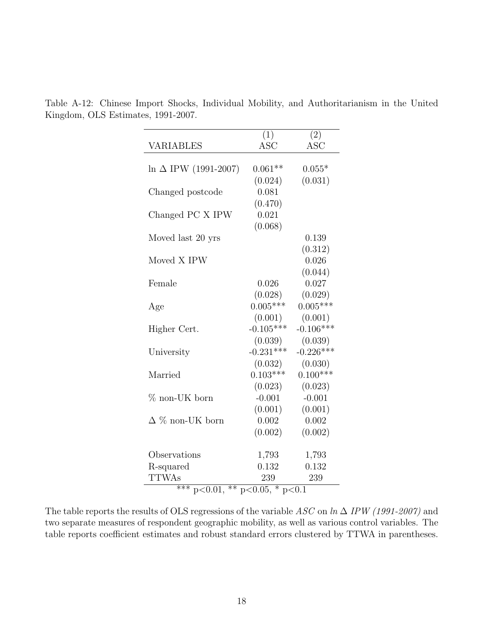|                              | $\overline{(1)}$    | $\overline{(2)}$ |
|------------------------------|---------------------|------------------|
| <b>VARIABLES</b>             | $\rm{ASC}$          | <b>ASC</b>       |
|                              |                     |                  |
| $\ln \Delta$ IPW (1991-2007) | $0.061**$           | $0.055*$         |
|                              | (0.024)             | (0.031)          |
| Changed postcode             | 0.081               |                  |
|                              | (0.470)             |                  |
| Changed PC X IPW             | 0.021               |                  |
|                              | (0.068)             |                  |
| Moved last 20 yrs            |                     | 0.139            |
|                              |                     | (0.312)          |
| Moved X IPW                  |                     | 0.026            |
|                              |                     | (0.044)          |
| Female                       | 0.026               | 0.027            |
|                              | (0.028)             | (0.029)          |
| Age                          | $0.005***$          | $0.005***$       |
|                              | (0.001)             | (0.001)          |
| Higher Cert.                 | $-0.105***$         | $-0.106***$      |
|                              | (0.039)             | (0.039)          |
| University                   | $-0.231***$         | $-0.226***$      |
|                              | (0.032)             | (0.030)          |
| Married                      | $0.103***$          | $0.100***$       |
|                              | (0.023)             | (0.023)          |
| $%$ non-UK born              | $-0.001$            | $-0.001$         |
|                              | (0.001)             | (0.001)          |
| $\Delta$ % non-UK born       | 0.002               | 0.002            |
|                              | (0.002)             | (0.002)          |
|                              |                     |                  |
| Observations                 | 1,793               | 1,793            |
| R-squared                    | 0.132               | 0.132            |
| <b>TTWAs</b>                 | 239                 | 239              |
| $*** - 20.01$<br>$*** -$     | $20.05 \times 20.1$ |                  |

Table A-12: Chinese Import Shocks, Individual Mobility, and Authoritarianism in the United Kingdom, OLS Estimates, 1991-2007.

 $p<0.01$ , \*\*  $p<0.05$ , \*  $p<0.1$ 

The table reports the results of OLS regressions of the variable ASC on  $\ln \Delta$  IPW (1991-2007) and two separate measures of respondent geographic mobility, as well as various control variables. The table reports coefficient estimates and robust standard errors clustered by TTWA in parentheses.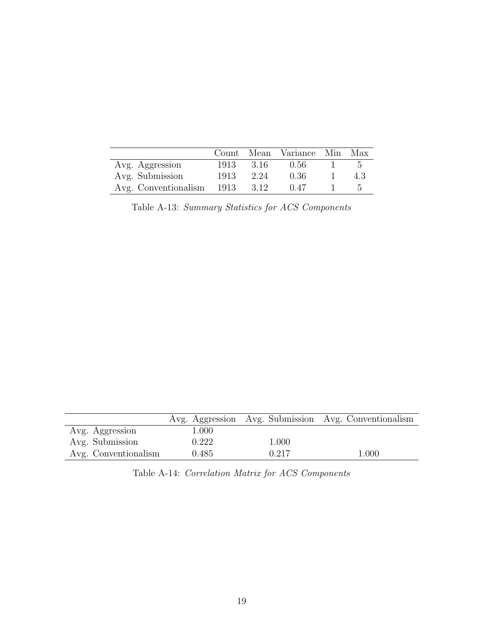|                           |       |       | Count Mean Variance Min Max |     |
|---------------------------|-------|-------|-----------------------------|-----|
| Avg. Aggression           | 1913. | -3.16 | 0.56                        | - 5 |
| Avg. Submission           | 1913  | 2.24  | 0.36                        | 43  |
| Avg. Conventionalism 1913 |       | 3.12  | (1.47)                      | h   |

Table A-13: Summary Statistics for ACS Components

|                      |           |       | Avg. Aggression Avg. Submission Avg. Conventionalism |
|----------------------|-----------|-------|------------------------------------------------------|
| Avg. Aggression      | $1.000\,$ |       |                                                      |
| Avg. Submission      | 0.222     | 1.000 |                                                      |
| Avg. Conventionalism | 0.485     | 0.217 | 1.000                                                |

|  |  |  |  | Table A-14: Correlation Matrix for ACS Components |
|--|--|--|--|---------------------------------------------------|
|--|--|--|--|---------------------------------------------------|